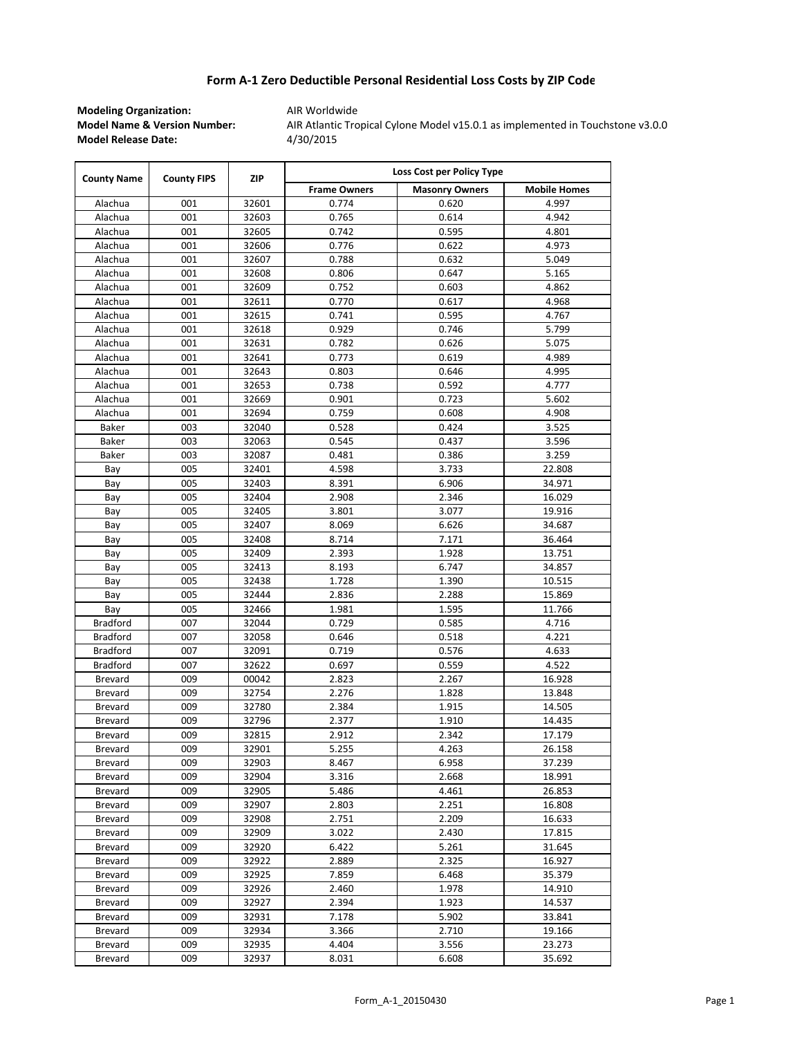**Modeling Organization:** AIR Worldwide **Model Release Date:** 4/30/2015

| <b>County Name</b> | <b>County FIPS</b> | ZIP   |                     | Loss Cost per Policy Type |                     |
|--------------------|--------------------|-------|---------------------|---------------------------|---------------------|
|                    |                    |       | <b>Frame Owners</b> | <b>Masonry Owners</b>     | <b>Mobile Homes</b> |
| Alachua            | 001                | 32601 | 0.774               | 0.620                     | 4.997               |
| Alachua            | 001                | 32603 | 0.765               | 0.614                     | 4.942               |
| Alachua            | 001                | 32605 | 0.742               | 0.595                     | 4.801               |
| Alachua            | 001                | 32606 | 0.776               | 0.622                     | 4.973               |
| Alachua            | 001                | 32607 | 0.788               | 0.632                     | 5.049               |
| Alachua            | 001                | 32608 | 0.806               | 0.647                     | 5.165               |
| Alachua            | 001                | 32609 | 0.752               | 0.603                     | 4.862               |
| Alachua            | 001                | 32611 | 0.770               | 0.617                     | 4.968               |
| Alachua            | 001                | 32615 | 0.741               | 0.595                     | 4.767               |
| Alachua            | 001                | 32618 | 0.929               | 0.746                     | 5.799               |
| Alachua            | 001                | 32631 | 0.782               | 0.626                     | 5.075               |
| Alachua            | 001                | 32641 | 0.773               | 0.619                     | 4.989               |
| Alachua            | 001                | 32643 | 0.803               | 0.646                     | 4.995               |
| Alachua            | 001                | 32653 | 0.738               | 0.592                     | 4.777               |
| Alachua            | 001                | 32669 | 0.901               | 0.723                     | 5.602               |
| Alachua            | 001                | 32694 | 0.759               | 0.608                     | 4.908               |
| Baker              | 003                | 32040 | 0.528               | 0.424                     | 3.525               |
| Baker              | 003                | 32063 | 0.545               | 0.437                     | 3.596               |
| Baker              | 003                | 32087 | 0.481               | 0.386                     | 3.259               |
| Bay                | 005                | 32401 | 4.598               | 3.733                     | 22.808              |
| Bay                | 005                | 32403 | 8.391               | 6.906                     | 34.971              |
| Bay                | 005                | 32404 | 2.908               | 2.346                     | 16.029              |
| Bay                | 005                | 32405 | 3.801               | 3.077                     | 19.916              |
| Bay                | 005                | 32407 | 8.069               | 6.626                     | 34.687              |
| Bay                | 005                | 32408 | 8.714               | 7.171                     | 36.464              |
| Bay                | 005                | 32409 | 2.393               | 1.928                     | 13.751              |
| Bay                | 005                | 32413 | 8.193               | 6.747                     | 34.857              |
| Bay                | 005                | 32438 | 1.728               |                           |                     |
| Bay                | 005                | 32444 | 2.836               | 1.390<br>2.288            | 10.515<br>15.869    |
| Bay                | 005                | 32466 | 1.981               | 1.595                     | 11.766              |
| <b>Bradford</b>    | 007                | 32044 | 0.729               | 0.585                     | 4.716               |
| <b>Bradford</b>    | 007                | 32058 | 0.646               | 0.518                     | 4.221               |
| <b>Bradford</b>    | 007                | 32091 | 0.719               | 0.576                     | 4.633               |
| <b>Bradford</b>    | 007                | 32622 | 0.697               | 0.559                     | 4.522               |
| Brevard            | 009                | 00042 | 2.823               | 2.267                     | 16.928              |
| Brevard            | 009                | 32754 | 2.276               | 1.828                     | 13.848              |
| <b>Brevard</b>     | 009                | 32780 | 2.384               | 1.915                     | 14.505              |
| <b>Brevard</b>     | 009                | 32796 | 2.377               | 1.910                     | 14.435              |
| <b>Brevard</b>     | 009                | 32815 | 2.912               | 2.342                     | 17.179              |
| <b>Brevard</b>     | 009                | 32901 | 5.255               | 4.263                     | 26.158              |
| Brevard            | 009                | 32903 | 8.467               | 6.958                     | 37.239              |
| Brevard            | 009                | 32904 | 3.316               | 2.668                     | 18.991              |
|                    | 009                | 32905 | 5.486               | 4.461                     |                     |
| Brevard            | 009                |       |                     | 2.251                     | 26.853              |
| Brevard            |                    | 32907 | 2.803               |                           | 16.808              |
| Brevard            | 009                | 32908 | 2.751               | 2.209                     | 16.633<br>17.815    |
| Brevard            | 009                | 32909 | 3.022<br>6.422      | 2.430                     |                     |
| Brevard            | 009                | 32920 |                     | 5.261                     | 31.645              |
| Brevard            | 009                | 32922 | 2.889               | 2.325                     | 16.927              |
| Brevard            | 009                | 32925 | 7.859               | 6.468                     | 35.379              |
| Brevard            | 009                | 32926 | 2.460               | 1.978                     | 14.910              |
| <b>Brevard</b>     | 009                | 32927 | 2.394               | 1.923                     | 14.537              |
| Brevard            | 009                | 32931 | 7.178               | 5.902                     | 33.841              |
| Brevard            | 009                | 32934 | 3.366               | 2.710                     | 19.166              |
| Brevard            | 009                | 32935 | 4.404               | 3.556                     | 23.273              |
| Brevard            | 009                | 32937 | 8.031               | 6.608                     | 35.692              |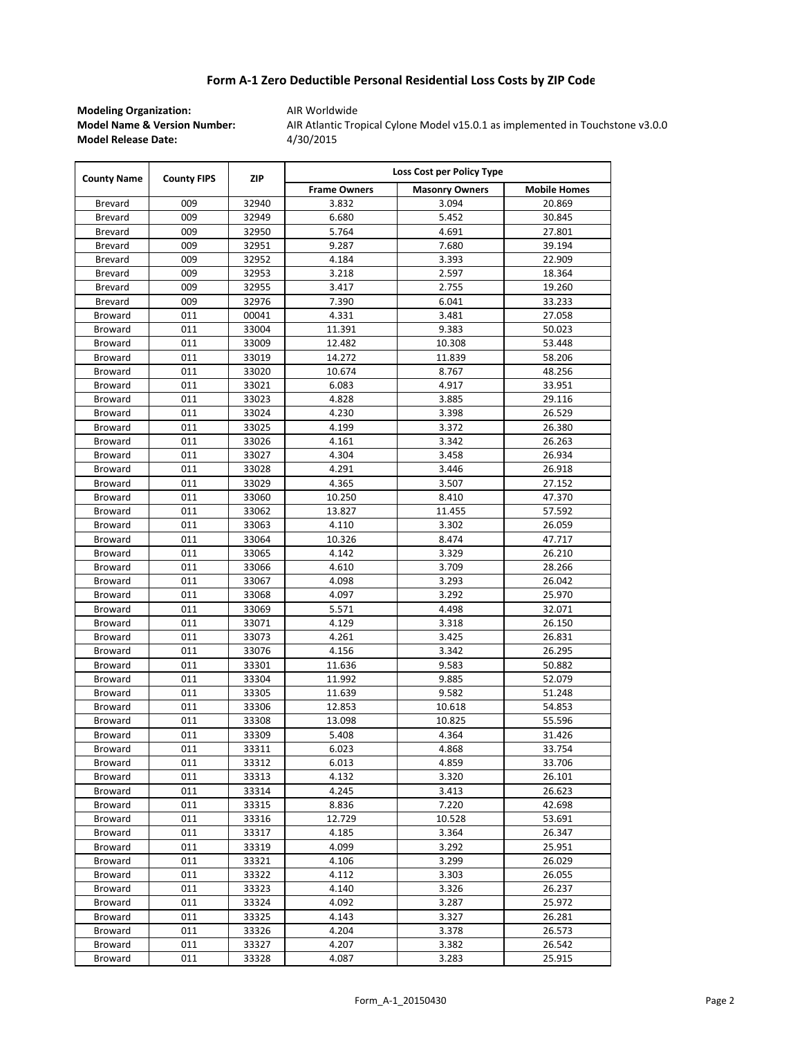**Modeling Organization:** AIR Worldwide **Model Release Date:** 4/30/2015

| <b>County Name</b> | <b>County FIPS</b> | <b>ZIP</b> | Loss Cost per Policy Type |                       |                     |  |
|--------------------|--------------------|------------|---------------------------|-----------------------|---------------------|--|
|                    |                    |            | <b>Frame Owners</b>       | <b>Masonry Owners</b> | <b>Mobile Homes</b> |  |
| <b>Brevard</b>     | 009                | 32940      | 3.832                     | 3.094                 | 20.869              |  |
| Brevard            | 009                | 32949      | 6.680                     | 5.452                 | 30.845              |  |
| Brevard            | 009                | 32950      | 5.764                     | 4.691                 | 27.801              |  |
| Brevard            | 009                | 32951      | 9.287                     | 7.680                 | 39.194              |  |
| <b>Brevard</b>     | 009                | 32952      | 4.184                     | 3.393                 | 22.909              |  |
| Brevard            | 009                | 32953      | 3.218                     | 2.597                 | 18.364              |  |
| Brevard            | 009                | 32955      | 3.417                     | 2.755                 | 19.260              |  |
| <b>Brevard</b>     | 009                | 32976      | 7.390                     | 6.041                 | 33.233              |  |
| Broward            | 011                | 00041      | 4.331                     | 3.481                 | 27.058              |  |
| Broward            | 011                | 33004      | 11.391                    | 9.383                 | 50.023              |  |
| Broward            | 011                | 33009      | 12.482                    | 10.308                | 53.448              |  |
| Broward            | 011                | 33019      | 14.272                    | 11.839                | 58.206              |  |
| Broward            | 011                | 33020      | 10.674                    | 8.767                 | 48.256              |  |
| Broward            | 011                | 33021      | 6.083                     | 4.917                 | 33.951              |  |
| Broward            | 011                | 33023      | 4.828                     | 3.885                 | 29.116              |  |
| Broward            | 011                | 33024      | 4.230                     | 3.398                 | 26.529              |  |
| Broward            | 011                | 33025      | 4.199                     | 3.372                 | 26.380              |  |
| Broward            | 011                | 33026      | 4.161                     | 3.342                 | 26.263              |  |
| Broward            | 011                | 33027      | 4.304                     | 3.458                 | 26.934              |  |
| Broward            | 011                | 33028      | 4.291                     | 3.446                 | 26.918              |  |
| Broward            | 011                | 33029      | 4.365                     | 3.507                 | 27.152              |  |
| Broward            | 011                | 33060      | 10.250                    | 8.410                 | 47.370              |  |
| Broward            | 011                | 33062      | 13.827                    | 11.455                | 57.592              |  |
| Broward            | 011                | 33063      | 4.110                     | 3.302                 | 26.059              |  |
| Broward            | 011                | 33064      | 10.326                    | 8.474                 | 47.717              |  |
| Broward            | 011                | 33065      | 4.142                     | 3.329                 | 26.210              |  |
| Broward            | 011                | 33066      | 4.610                     | 3.709                 | 28.266              |  |
| Broward            | 011                | 33067      | 4.098                     | 3.293                 | 26.042              |  |
| Broward            | 011                | 33068      | 4.097                     | 3.292                 | 25.970              |  |
| Broward            | 011                | 33069      | 5.571                     | 4.498                 | 32.071              |  |
| Broward            | 011                | 33071      | 4.129                     | 3.318                 | 26.150              |  |
| Broward            | 011                | 33073      | 4.261                     | 3.425                 | 26.831              |  |
| Broward            | 011                | 33076      | 4.156                     | 3.342                 | 26.295              |  |
| Broward            | 011                | 33301      | 11.636                    | 9.583                 | 50.882              |  |
| Broward            | 011                | 33304      | 11.992                    | 9.885                 | 52.079              |  |
| Broward            | 011                | 33305      | 11.639                    | 9.582                 | 51.248              |  |
| Broward            | 011                | 33306      | 12.853                    | 10.618                | 54.853              |  |
| Broward            | 011                | 33308      | 13.098                    | 10.825                | 55.596              |  |
| Broward            | 011                | 33309      | 5.408                     | 4.364                 | 31.426              |  |
| <b>Broward</b>     | 011                | 33311      | 6.023                     | 4.868                 | 33.754              |  |
| Broward            | 011                | 33312      | 6.013                     | 4.859                 | 33.706              |  |
| Broward            | 011                | 33313      | 4.132                     | 3.320                 | 26.101              |  |
| Broward            | 011                | 33314      | 4.245                     | 3.413                 | 26.623              |  |
| Broward            | 011                | 33315      | 8.836                     | 7.220                 | 42.698              |  |
| Broward            | 011                | 33316      | 12.729                    | 10.528                | 53.691              |  |
| Broward            | 011                | 33317      | 4.185                     | 3.364                 | 26.347              |  |
| Broward            | 011                | 33319      | 4.099                     | 3.292                 | 25.951              |  |
| Broward            | 011                | 33321      | 4.106                     | 3.299                 | 26.029              |  |
| Broward            | 011                | 33322      | 4.112                     | 3.303                 | 26.055              |  |
| Broward            | 011                | 33323      | 4.140                     | 3.326                 | 26.237              |  |
| Broward            | 011                | 33324      | 4.092                     | 3.287                 | 25.972              |  |
| Broward            | 011                | 33325      | 4.143                     | 3.327                 | 26.281              |  |
| Broward            | 011                | 33326      | 4.204                     | 3.378                 | 26.573              |  |
| Broward            | 011                | 33327      | 4.207                     | 3.382                 | 26.542              |  |
| Broward            | 011                | 33328      | 4.087                     | 3.283                 | 25.915              |  |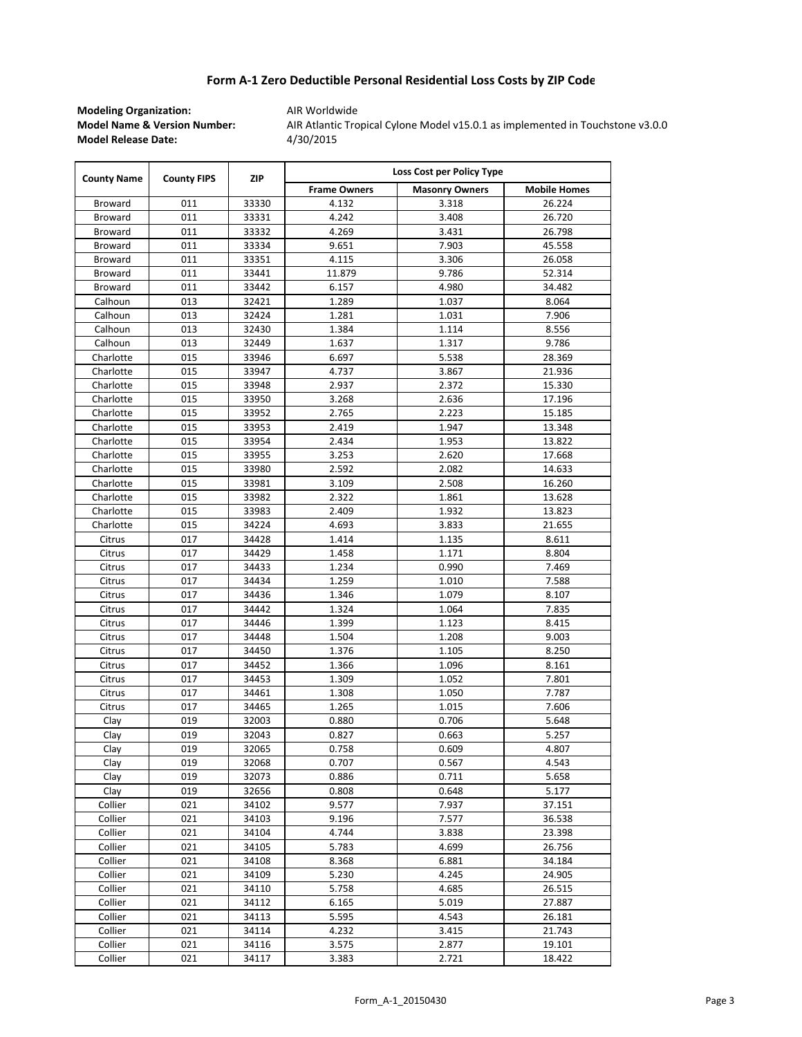**Modeling Organization:** AIR Worldwide **Model Release Date:** 4/30/2015

| <b>County Name</b> | <b>County FIPS</b> | ZIP   | Loss Cost per Policy Type |                       |                     |  |
|--------------------|--------------------|-------|---------------------------|-----------------------|---------------------|--|
|                    |                    |       | <b>Frame Owners</b>       | <b>Masonry Owners</b> | <b>Mobile Homes</b> |  |
| <b>Broward</b>     | 011                | 33330 | 4.132                     | 3.318                 | 26.224              |  |
| <b>Broward</b>     | 011                | 33331 | 4.242                     | 3.408                 | 26.720              |  |
| Broward            | 011                | 33332 | 4.269                     | 3.431                 | 26.798              |  |
| <b>Broward</b>     | 011                | 33334 | 9.651                     | 7.903                 | 45.558              |  |
| <b>Broward</b>     | 011                | 33351 | 4.115                     | 3.306                 | 26.058              |  |
| Broward            | 011                | 33441 | 11.879                    | 9.786                 | 52.314              |  |
| <b>Broward</b>     | 011                | 33442 | 6.157                     | 4.980                 | 34.482              |  |
| Calhoun            | 013                | 32421 | 1.289                     | 1.037                 | 8.064               |  |
| Calhoun            | 013                | 32424 | 1.281                     | 1.031                 | 7.906               |  |
| Calhoun            | 013                | 32430 | 1.384                     | 1.114                 | 8.556               |  |
| Calhoun            | 013                | 32449 | 1.637                     | 1.317                 | 9.786               |  |
| Charlotte          | 015                | 33946 | 6.697                     | 5.538                 | 28.369              |  |
| Charlotte          | 015                | 33947 | 4.737                     | 3.867                 | 21.936              |  |
| Charlotte          | 015                | 33948 | 2.937                     | 2.372                 | 15.330              |  |
| Charlotte          | 015                | 33950 | 3.268                     | 2.636                 | 17.196              |  |
| Charlotte          | 015                | 33952 | 2.765                     | 2.223                 | 15.185              |  |
| Charlotte          | 015                | 33953 | 2.419                     | 1.947                 | 13.348              |  |
| Charlotte          | 015                | 33954 | 2.434                     | 1.953                 | 13.822              |  |
| Charlotte          | 015                | 33955 | 3.253                     | 2.620                 | 17.668              |  |
| Charlotte          | 015                | 33980 | 2.592                     | 2.082                 | 14.633              |  |
| Charlotte          | 015                | 33981 | 3.109                     | 2.508                 | 16.260              |  |
| Charlotte          | 015                | 33982 | 2.322                     | 1.861                 | 13.628              |  |
| Charlotte          | 015                | 33983 | 2.409                     | 1.932                 | 13.823              |  |
| Charlotte          | 015                | 34224 | 4.693                     | 3.833                 | 21.655              |  |
| Citrus             | 017                | 34428 | 1.414                     | 1.135                 | 8.611               |  |
| Citrus             | 017                | 34429 | 1.458                     | 1.171                 | 8.804               |  |
| Citrus             | 017                | 34433 | 1.234                     | 0.990                 | 7.469               |  |
| Citrus             | 017                | 34434 | 1.259                     | 1.010                 | 7.588               |  |
| Citrus             | 017                | 34436 | 1.346                     | 1.079                 | 8.107               |  |
| Citrus             | 017                | 34442 | 1.324                     | 1.064                 | 7.835               |  |
| Citrus             | 017                | 34446 | 1.399                     | 1.123                 | 8.415               |  |
| Citrus             | 017                | 34448 | 1.504                     | 1.208                 | 9.003               |  |
| Citrus             | 017                | 34450 | 1.376                     | 1.105                 | 8.250               |  |
| Citrus             | 017                | 34452 | 1.366                     | 1.096                 | 8.161               |  |
| Citrus             | 017                | 34453 | 1.309                     | 1.052                 | 7.801               |  |
| Citrus             | 017                | 34461 | 1.308                     | 1.050                 | 7.787               |  |
| Citrus             | 017                | 34465 | 1.265                     | 1.015                 | 7.606               |  |
| Clay               | 019                | 32003 | 0.880                     | 0.706                 | 5.648               |  |
| Clay               | 019                | 32043 | 0.827                     | 0.663                 | 5.257               |  |
| Clay               | 019                | 32065 | 0.758                     | 0.609                 | 4.807               |  |
| Clay               | 019                | 32068 | 0.707                     | 0.567                 | 4.543               |  |
| Clay               | 019                | 32073 | 0.886                     | 0.711                 | 5.658               |  |
| Clay               | 019                | 32656 | 0.808                     | 0.648                 | 5.177               |  |
| Collier            | 021                | 34102 | 9.577                     | 7.937                 | 37.151              |  |
| Collier            | 021                | 34103 | 9.196                     | 7.577                 | 36.538              |  |
| Collier            | 021                | 34104 | 4.744                     | 3.838                 | 23.398              |  |
| Collier            | 021                | 34105 | 5.783                     | 4.699                 | 26.756              |  |
| Collier            | 021                | 34108 | 8.368                     | 6.881                 | 34.184              |  |
| Collier            | 021                | 34109 | 5.230                     | 4.245                 | 24.905              |  |
| Collier            | 021                | 34110 | 5.758                     | 4.685                 | 26.515              |  |
| Collier            | 021                | 34112 | 6.165                     | 5.019                 | 27.887              |  |
| Collier            | 021                | 34113 | 5.595                     | 4.543                 | 26.181              |  |
| Collier            | 021                | 34114 | 4.232                     | 3.415                 | 21.743              |  |
| Collier            | 021                | 34116 | 3.575                     | 2.877                 | 19.101              |  |
| Collier            | 021                | 34117 | 3.383                     | 2.721                 | 18.422              |  |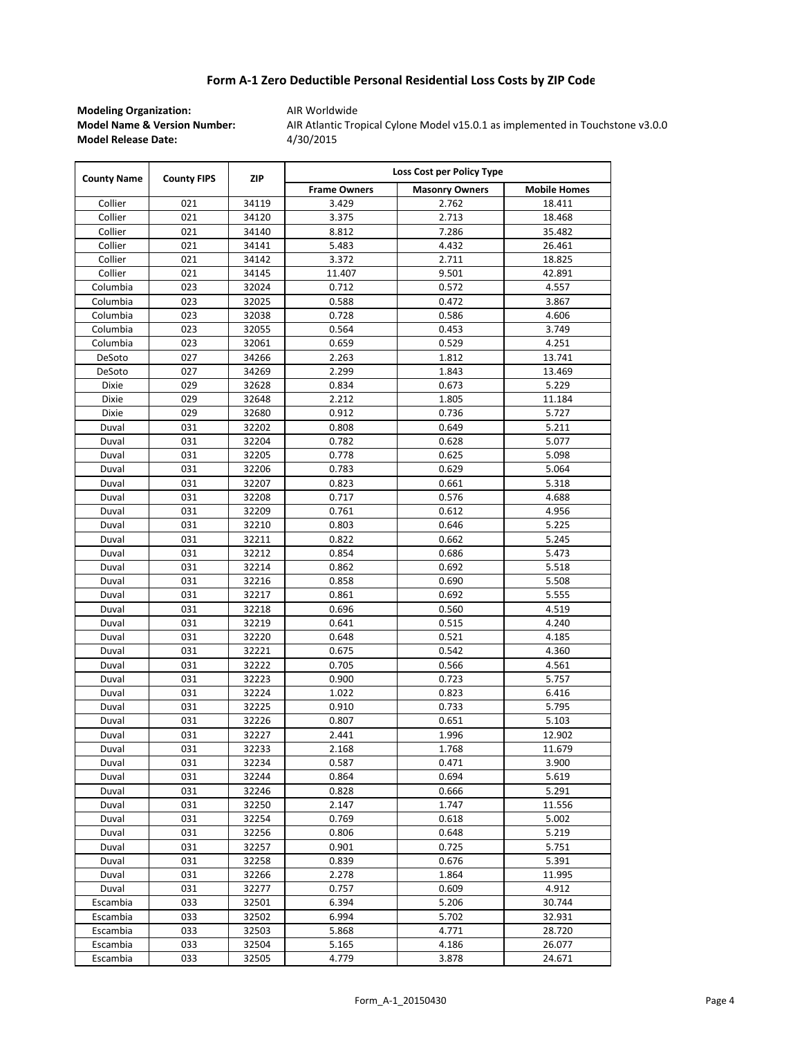**Modeling Organization:** AIR Worldwide **Model Release Date:** 4/30/2015

| <b>County Name</b> | <b>County FIPS</b> | <b>ZIP</b> | <b>Loss Cost per Policy Type</b> |                       |                     |  |
|--------------------|--------------------|------------|----------------------------------|-----------------------|---------------------|--|
|                    |                    |            | <b>Frame Owners</b>              | <b>Masonry Owners</b> | <b>Mobile Homes</b> |  |
| Collier            | 021                | 34119      | 3.429                            | 2.762                 | 18.411              |  |
| Collier            | 021                | 34120      | 3.375                            | 2.713                 | 18.468              |  |
| Collier            | 021                | 34140      | 8.812                            | 7.286                 | 35.482              |  |
| Collier            | 021                | 34141      | 5.483                            | 4.432                 | 26.461              |  |
| Collier            | 021                | 34142      | 3.372                            | 2.711                 | 18.825              |  |
| Collier            | 021                | 34145      | 11.407                           | 9.501                 | 42.891              |  |
| Columbia           | 023                | 32024      | 0.712                            | 0.572                 | 4.557               |  |
| Columbia           | 023                | 32025      | 0.588                            | 0.472                 | 3.867               |  |
| Columbia           | 023                | 32038      | 0.728                            | 0.586                 | 4.606               |  |
| Columbia           | 023                | 32055      | 0.564                            | 0.453                 | 3.749               |  |
| Columbia           | 023                | 32061      | 0.659                            | 0.529                 | 4.251               |  |
| DeSoto             | 027                | 34266      | 2.263                            | 1.812                 | 13.741              |  |
| DeSoto             | 027                | 34269      | 2.299                            | 1.843                 | 13.469              |  |
| Dixie              | 029                | 32628      | 0.834                            | 0.673                 | 5.229               |  |
| Dixie              | 029                | 32648      | 2.212                            | 1.805                 | 11.184              |  |
| Dixie              | 029                | 32680      | 0.912                            | 0.736                 | 5.727               |  |
| Duval              | 031                | 32202      | 0.808                            | 0.649                 | 5.211               |  |
| Duval              | 031                | 32204      | 0.782                            | 0.628                 | 5.077               |  |
| Duval              | 031                | 32205      | 0.778                            | 0.625                 | 5.098               |  |
| Duval              | 031                | 32206      | 0.783                            | 0.629                 | 5.064               |  |
| Duval              | 031                | 32207      | 0.823                            | 0.661                 | 5.318               |  |
| Duval              | 031                | 32208      | 0.717                            | 0.576                 | 4.688               |  |
| Duval              | 031                | 32209      | 0.761                            | 0.612                 | 4.956               |  |
| Duval              | 031                | 32210      | 0.803                            | 0.646                 | 5.225               |  |
| Duval              | 031                | 32211      | 0.822                            | 0.662                 | 5.245               |  |
| Duval              | 031                | 32212      | 0.854                            | 0.686                 | 5.473               |  |
| Duval              | 031                | 32214      | 0.862                            | 0.692                 | 5.518               |  |
| Duval              | 031                | 32216      | 0.858                            | 0.690                 | 5.508               |  |
| Duval              | 031                | 32217      | 0.861                            | 0.692                 | 5.555               |  |
| Duval              | 031                | 32218      | 0.696                            | 0.560                 | 4.519               |  |
| Duval              | 031                | 32219      | 0.641                            | 0.515                 | 4.240               |  |
| Duval              | 031                | 32220      | 0.648                            | 0.521                 | 4.185               |  |
| Duval              | 031                | 32221      | 0.675                            | 0.542                 | 4.360               |  |
| Duval              | 031                | 32222      | 0.705                            | 0.566                 | 4.561               |  |
| Duval              | 031                | 32223      | 0.900                            | 0.723                 | 5.757               |  |
| Duval              | 031                | 32224      | 1.022                            | 0.823                 | 6.416               |  |
| Duval              | 031                | 32225      | 0.910                            | 0.733                 | 5.795               |  |
| Duval              | 031                | 32226      | 0.807                            | 0.651                 | 5.103               |  |
| Duval              | 031                | 32227      | 2.441                            | 1.996                 | 12.902              |  |
| Duval              | 031                | 32233      | 2.168                            | 1.768                 | 11.679              |  |
| Duval              | 031                | 32234      | 0.587                            | 0.471                 | 3.900               |  |
| Duval              | 031                | 32244      | 0.864                            | 0.694                 | 5.619               |  |
| Duval              | 031                | 32246      | 0.828                            | 0.666                 | 5.291               |  |
| Duval              | 031                | 32250      | 2.147                            | 1.747                 | 11.556              |  |
| Duval              | 031                | 32254      | 0.769                            | 0.618                 | 5.002               |  |
| Duval              | 031                | 32256      | 0.806                            | 0.648                 | 5.219               |  |
| Duval              | 031                | 32257      | 0.901                            | 0.725                 | 5.751               |  |
| Duval              | 031                | 32258      | 0.839                            | 0.676                 | 5.391               |  |
| Duval              | 031                | 32266      | 2.278                            | 1.864                 | 11.995              |  |
| Duval              | 031                | 32277      | 0.757                            | 0.609                 | 4.912               |  |
| Escambia           | 033                | 32501      | 6.394                            | 5.206                 | 30.744              |  |
| Escambia           | 033                | 32502      | 6.994                            | 5.702                 | 32.931              |  |
| Escambia           | 033                | 32503      | 5.868                            | 4.771                 | 28.720              |  |
| Escambia           | 033                | 32504      | 5.165                            | 4.186                 | 26.077              |  |
| Escambia           | 033                | 32505      | 4.779                            | 3.878                 | 24.671              |  |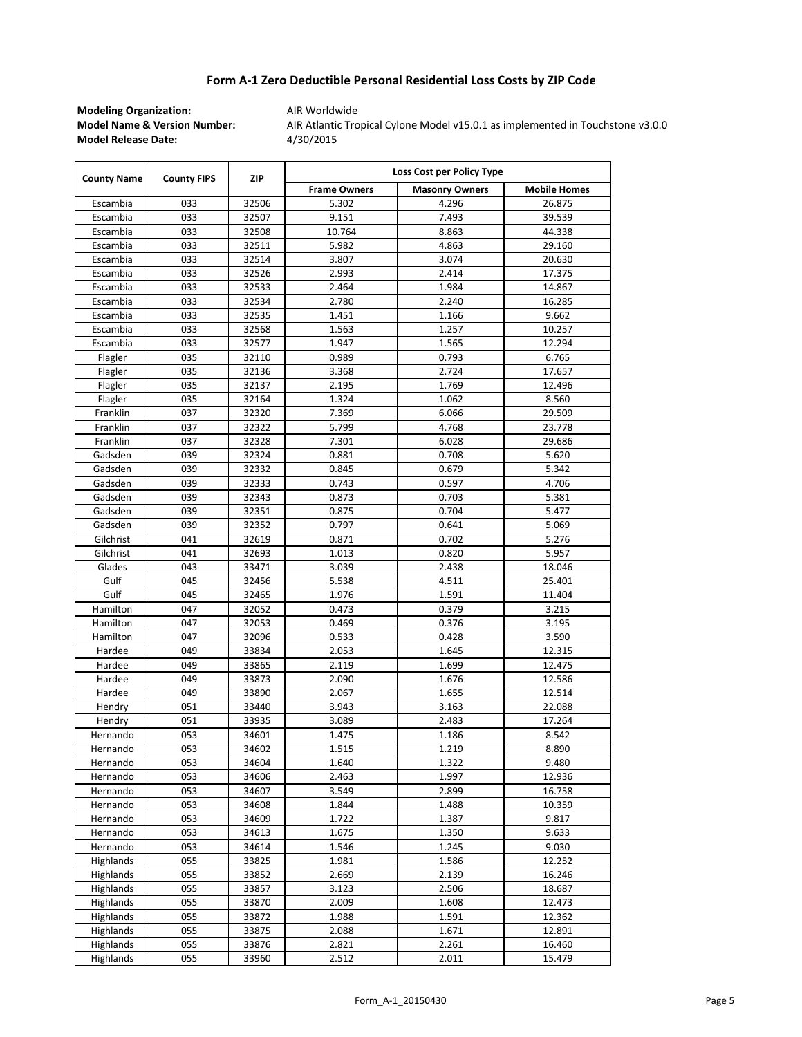**Modeling Organization:** AIR Worldwide **Model Release Date:** 4/30/2015

| <b>County Name</b> | <b>County FIPS</b> | <b>ZIP</b>     | Loss Cost per Policy Type |                       |                     |  |
|--------------------|--------------------|----------------|---------------------------|-----------------------|---------------------|--|
|                    |                    |                | <b>Frame Owners</b>       | <b>Masonry Owners</b> | <b>Mobile Homes</b> |  |
| Escambia           | 033                | 32506          | 5.302                     | 4.296                 | 26.875              |  |
| Escambia           | 033                | 32507          | 9.151                     | 7.493                 | 39.539              |  |
| Escambia           | 033                | 32508          | 10.764                    | 8.863                 | 44.338              |  |
| Escambia           | 033                | 32511          | 5.982                     | 4.863                 | 29.160              |  |
| Escambia           | 033                | 32514          | 3.807                     | 3.074                 | 20.630              |  |
| Escambia           | 033                | 32526          | 2.993                     | 2.414                 | 17.375              |  |
| Escambia           | 033                | 32533          | 2.464                     | 1.984                 | 14.867              |  |
| Escambia           | 033                | 32534          | 2.780                     | 2.240                 | 16.285              |  |
| Escambia           | 033                | 32535          | 1.451                     | 1.166                 | 9.662               |  |
| Escambia           | 033                | 32568          | 1.563                     | 1.257                 | 10.257              |  |
| Escambia           | 033                | 32577          | 1.947                     | 1.565                 | 12.294              |  |
| Flagler            | 035                | 32110          | 0.989                     | 0.793                 | 6.765               |  |
| Flagler            | 035                | 32136          | 3.368                     | 2.724                 | 17.657              |  |
| Flagler            | 035                | 32137          | 2.195                     | 1.769                 | 12.496              |  |
| Flagler            | 035                | 32164          | 1.324                     | 1.062                 | 8.560               |  |
| Franklin           | 037                | 32320          | 7.369                     | 6.066                 | 29.509              |  |
| Franklin           | 037                | 32322          | 5.799                     | 4.768                 | 23.778              |  |
| Franklin           | 037                | 32328          | 7.301                     | 6.028                 | 29.686              |  |
| Gadsden            | 039                | 32324          | 0.881                     | 0.708                 | 5.620               |  |
| Gadsden            | 039                | 32332          | 0.845                     | 0.679                 | 5.342               |  |
| Gadsden            | 039                | 32333          | 0.743                     | 0.597                 | 4.706               |  |
| Gadsden            | 039                | 32343          | 0.873                     | 0.703                 | 5.381               |  |
| Gadsden            | 039                | 32351          | 0.875                     | 0.704                 | 5.477               |  |
| Gadsden            | 039                | 32352          | 0.797                     | 0.641                 | 5.069               |  |
| Gilchrist          | 041                | 32619          | 0.871                     | 0.702                 | 5.276               |  |
| Gilchrist          | 041                | 32693          | 1.013                     | 0.820                 | 5.957               |  |
| Glades             | 043                | 33471          | 3.039                     | 2.438                 | 18.046              |  |
| Gulf               | 045                | 32456          | 5.538                     | 4.511                 | 25.401              |  |
| Gulf               | 045                | 32465          | 1.976                     | 1.591                 | 11.404              |  |
| Hamilton           | 047                | 32052          | 0.473                     | 0.379                 | 3.215               |  |
| Hamilton           | 047                | 32053          | 0.469                     | 0.376                 | 3.195               |  |
| Hamilton           | 047                | 32096          | 0.533                     | 0.428                 | 3.590               |  |
| Hardee             | 049                | 33834          | 2.053                     | 1.645                 | 12.315              |  |
| Hardee             | 049                | 33865          | 2.119                     | 1.699                 | 12.475              |  |
| Hardee             | 049                | 33873          | 2.090                     | 1.676                 | 12.586              |  |
| Hardee             | 049                | 33890          | 2.067                     | 1.655                 | 12.514              |  |
|                    | 051                | 33440          | 3.943                     | 3.163                 | 22.088              |  |
| Hendry             | 051                |                |                           | 2.483                 |                     |  |
| Hendry<br>Hernando | 053                | 33935<br>34601 | 3.089<br>1.475            | 1.186                 | 17.264<br>8.542     |  |
| Hernando           | 053                | 34602          | 1.515                     | 1.219                 | 8.890               |  |
| Hernando           | 053                |                |                           |                       |                     |  |
| Hernando           | 053                | 34604<br>34606 | 1.640<br>2.463            | 1.322<br>1.997        | 9.480<br>12.936     |  |
| Hernando           | 053                |                |                           |                       |                     |  |
|                    | 053                | 34607          | 3.549<br>1.844            | 2.899<br>1.488        | 16.758              |  |
| Hernando           |                    | 34608          |                           |                       | 10.359              |  |
| Hernando           | 053                | 34609          | 1.722                     | 1.387                 | 9.817               |  |
| Hernando           | 053                | 34613          | 1.675                     | 1.350                 | 9.633               |  |
| Hernando           | 053                | 34614          | 1.546                     | 1.245                 | 9.030               |  |
| Highlands          | 055                | 33825          | 1.981                     | 1.586                 | 12.252              |  |
| Highlands          | 055                | 33852          | 2.669                     | 2.139                 | 16.246              |  |
| <b>Highlands</b>   | 055                | 33857          | 3.123                     | 2.506                 | 18.687              |  |
| Highlands          | 055                | 33870          | 2.009                     | 1.608                 | 12.473              |  |
| Highlands          | 055                | 33872          | 1.988                     | 1.591                 | 12.362              |  |
| Highlands          | 055                | 33875          | 2.088                     | 1.671                 | 12.891              |  |
| Highlands          | 055                | 33876          | 2.821                     | 2.261                 | 16.460              |  |
| Highlands          | 055                | 33960          | 2.512                     | 2.011                 | 15.479              |  |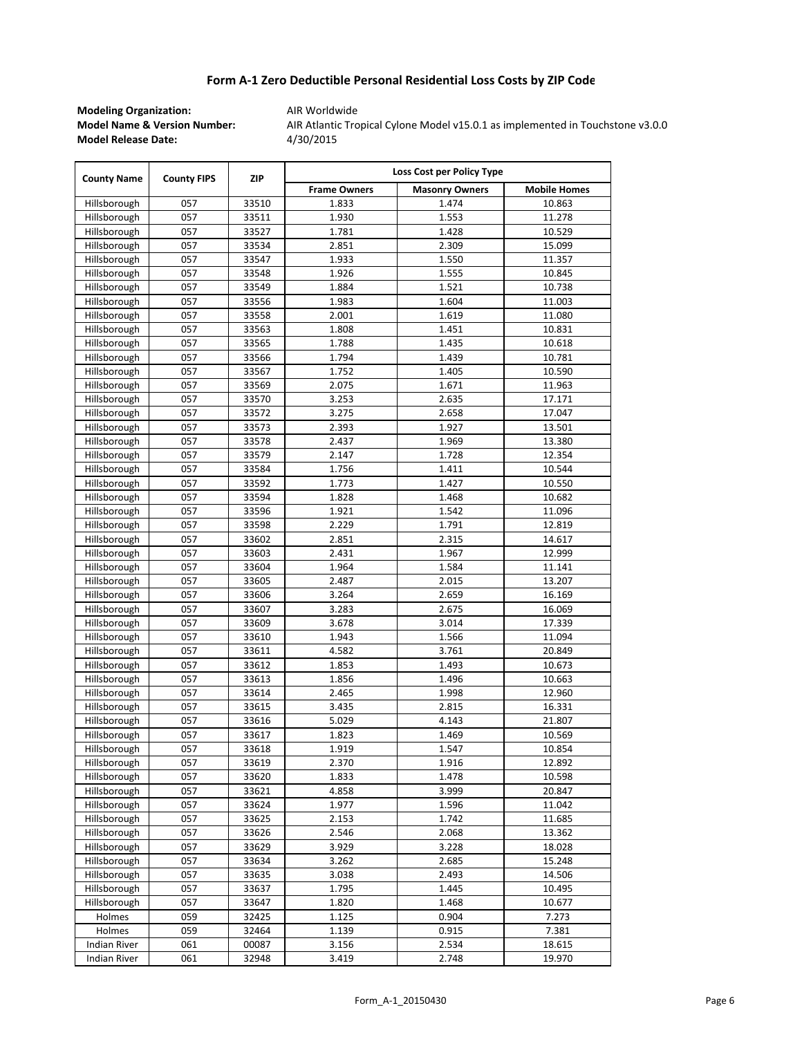**Modeling Organization:** AIR Worldwide **Model Release Date:** 4/30/2015

| <b>County Name</b>  | <b>County FIPS</b> | <b>ZIP</b> | <b>Loss Cost per Policy Type</b> |                       |                     |  |
|---------------------|--------------------|------------|----------------------------------|-----------------------|---------------------|--|
|                     |                    |            | <b>Frame Owners</b>              | <b>Masonry Owners</b> | <b>Mobile Homes</b> |  |
| Hillsborough        | 057                | 33510      | 1.833                            | 1.474                 | 10.863              |  |
| Hillsborough        | 057                | 33511      | 1.930                            | 1.553                 | 11.278              |  |
| Hillsborough        | 057                | 33527      | 1.781                            | 1.428                 | 10.529              |  |
| Hillsborough        | 057                | 33534      | 2.851                            | 2.309                 | 15.099              |  |
| Hillsborough        | 057                | 33547      | 1.933                            | 1.550                 | 11.357              |  |
| Hillsborough        | 057                | 33548      | 1.926                            | 1.555                 | 10.845              |  |
| Hillsborough        | 057                | 33549      | 1.884                            | 1.521                 | 10.738              |  |
| Hillsborough        | 057                | 33556      | 1.983                            | 1.604                 | 11.003              |  |
| Hillsborough        | 057                | 33558      | 2.001                            | 1.619                 | 11.080              |  |
| Hillsborough        | 057                | 33563      | 1.808                            | 1.451                 | 10.831              |  |
| Hillsborough        | 057                | 33565      | 1.788                            | 1.435                 | 10.618              |  |
| Hillsborough        | 057                | 33566      | 1.794                            | 1.439                 | 10.781              |  |
| Hillsborough        | 057                | 33567      | 1.752                            | 1.405                 | 10.590              |  |
| Hillsborough        | 057                | 33569      | 2.075                            | 1.671                 | 11.963              |  |
| Hillsborough        | 057                | 33570      | 3.253                            | 2.635                 | 17.171              |  |
| Hillsborough        | 057                | 33572      | 3.275                            | 2.658                 | 17.047              |  |
| Hillsborough        | 057                | 33573      | 2.393                            | 1.927                 | 13.501              |  |
| Hillsborough        | 057                | 33578      | 2.437                            | 1.969                 | 13.380              |  |
| Hillsborough        | 057                | 33579      | 2.147                            | 1.728                 | 12.354              |  |
| Hillsborough        | 057                | 33584      | 1.756                            | 1.411                 | 10.544              |  |
| Hillsborough        | 057                | 33592      | 1.773                            | 1.427                 | 10.550              |  |
| Hillsborough        | 057                | 33594      | 1.828                            | 1.468                 | 10.682              |  |
| Hillsborough        | 057                | 33596      | 1.921                            | 1.542                 | 11.096              |  |
| Hillsborough        | 057                | 33598      | 2.229                            | 1.791                 | 12.819              |  |
| Hillsborough        | 057                | 33602      | 2.851                            | 2.315                 | 14.617              |  |
| Hillsborough        | 057                | 33603      | 2.431                            | 1.967                 | 12.999              |  |
| Hillsborough        | 057                | 33604      | 1.964                            | 1.584                 | 11.141              |  |
| Hillsborough        | 057                | 33605      | 2.487                            | 2.015                 | 13.207              |  |
| Hillsborough        | 057                | 33606      | 3.264                            | 2.659                 | 16.169              |  |
| Hillsborough        | 057                | 33607      | 3.283                            | 2.675                 | 16.069              |  |
| Hillsborough        | 057                | 33609      | 3.678                            | 3.014                 | 17.339              |  |
| Hillsborough        | 057                | 33610      | 1.943                            | 1.566                 | 11.094              |  |
| Hillsborough        | 057                | 33611      | 4.582                            | 3.761                 | 20.849              |  |
| Hillsborough        | 057                | 33612      | 1.853                            | 1.493                 | 10.673              |  |
| Hillsborough        | 057                | 33613      | 1.856                            | 1.496                 | 10.663              |  |
| Hillsborough        | 057                | 33614      | 2.465                            | 1.998                 | 12.960              |  |
| Hillsborough        | 057                | 33615      | 3.435                            | 2.815                 | 16.331              |  |
| Hillsborough        | 057                | 33616      | 5.029                            | 4.143                 | 21.807              |  |
| Hillsborough        | 057                | 33617      | 1.823                            | 1.469                 | 10.569              |  |
| Hillsborough        | 057                | 33618      | 1.919                            | 1.547                 | 10.854              |  |
| Hillsborough        | 057                | 33619      | 2.370                            | 1.916                 | 12.892              |  |
| Hillsborough        | 057                | 33620      | 1.833                            | 1.478                 | 10.598              |  |
| Hillsborough        | 057                | 33621      | 4.858                            | 3.999                 | 20.847              |  |
| Hillsborough        | 057                | 33624      | 1.977                            | 1.596                 | 11.042              |  |
| Hillsborough        | 057                | 33625      | 2.153                            | 1.742                 | 11.685              |  |
| Hillsborough        | 057                | 33626      | 2.546                            | 2.068                 | 13.362              |  |
| Hillsborough        | 057                | 33629      | 3.929                            | 3.228                 | 18.028              |  |
| Hillsborough        | 057                | 33634      | 3.262                            | 2.685                 | 15.248              |  |
| Hillsborough        | 057                | 33635      | 3.038                            | 2.493                 | 14.506              |  |
| Hillsborough        | 057                | 33637      | 1.795                            | 1.445                 | 10.495              |  |
| Hillsborough        | 057                | 33647      | 1.820                            | 1.468                 | 10.677              |  |
| Holmes              | 059                | 32425      | 1.125                            | 0.904                 | 7.273               |  |
| Holmes              | 059                | 32464      | 1.139                            | 0.915                 | 7.381               |  |
| Indian River        | 061                | 00087      | 3.156                            | 2.534                 | 18.615              |  |
| <b>Indian River</b> | 061                | 32948      | 3.419                            | 2.748                 | 19.970              |  |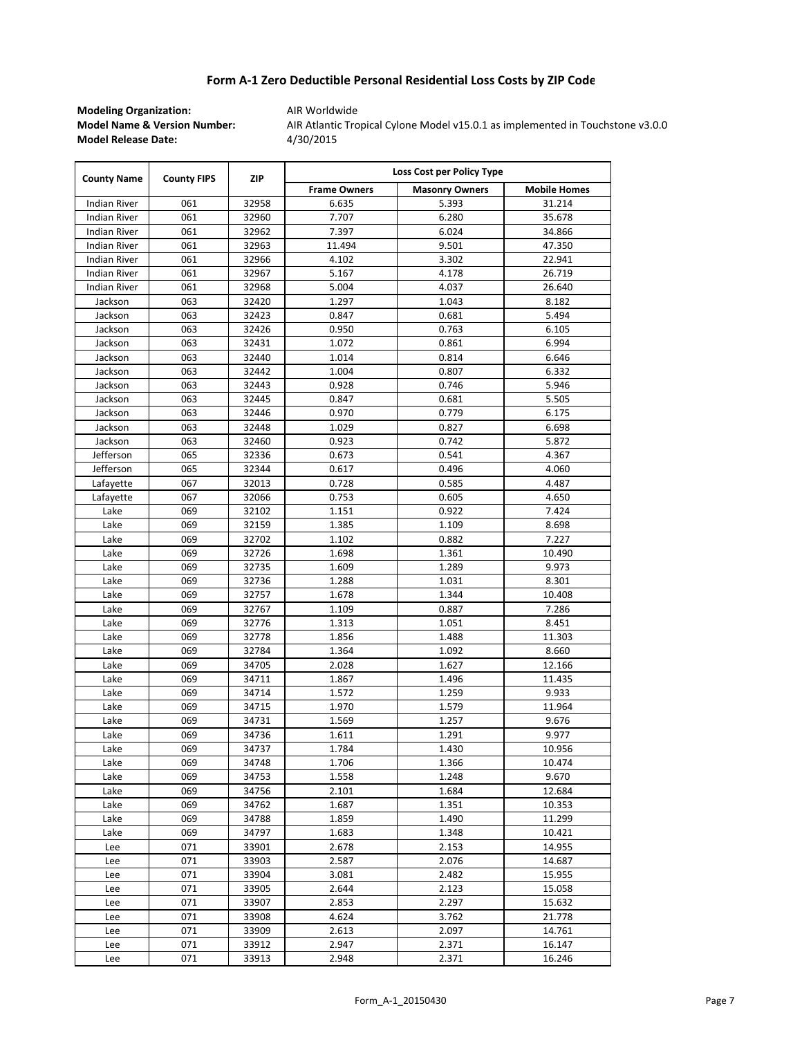**Modeling Organization:** AIR Worldwide **Model Release Date:** 4/30/2015

| <b>County Name</b>  | <b>County FIPS</b> | <b>ZIP</b> | Loss Cost per Policy Type |                       |                     |  |
|---------------------|--------------------|------------|---------------------------|-----------------------|---------------------|--|
|                     |                    |            | <b>Frame Owners</b>       | <b>Masonry Owners</b> | <b>Mobile Homes</b> |  |
| <b>Indian River</b> | 061                | 32958      | 6.635                     | 5.393                 | 31.214              |  |
| <b>Indian River</b> | 061                | 32960      | 7.707                     | 6.280                 | 35.678              |  |
| <b>Indian River</b> | 061                | 32962      | 7.397                     | 6.024                 | 34.866              |  |
| <b>Indian River</b> | 061                | 32963      | 11.494                    | 9.501                 | 47.350              |  |
| Indian River        | 061                | 32966      | 4.102                     | 3.302                 | 22.941              |  |
| <b>Indian River</b> | 061                | 32967      | 5.167                     | 4.178                 | 26.719              |  |
| <b>Indian River</b> | 061                | 32968      | 5.004                     | 4.037                 | 26.640              |  |
| Jackson             | 063                | 32420      | 1.297                     | 1.043                 | 8.182               |  |
| Jackson             | 063                | 32423      | 0.847                     | 0.681                 | 5.494               |  |
| Jackson             | 063                | 32426      | 0.950                     | 0.763                 | 6.105               |  |
| Jackson             | 063                | 32431      | 1.072                     | 0.861                 | 6.994               |  |
| Jackson             | 063                | 32440      | 1.014                     | 0.814                 | 6.646               |  |
| Jackson             | 063                | 32442      | 1.004                     | 0.807                 | 6.332               |  |
| Jackson             | 063                | 32443      | 0.928                     | 0.746                 | 5.946               |  |
| Jackson             | 063                | 32445      | 0.847                     | 0.681                 | 5.505               |  |
| Jackson             | 063                | 32446      | 0.970                     | 0.779                 | 6.175               |  |
| Jackson             | 063                | 32448      | 1.029                     | 0.827                 | 6.698               |  |
| Jackson             | 063                | 32460      | 0.923                     | 0.742                 | 5.872               |  |
| Jefferson           | 065                | 32336      | 0.673                     | 0.541                 | 4.367               |  |
| Jefferson           | 065                | 32344      | 0.617                     | 0.496                 | 4.060               |  |
| Lafayette           | 067                | 32013      | 0.728                     | 0.585                 | 4.487               |  |
| Lafayette           | 067                | 32066      | 0.753                     | 0.605                 | 4.650               |  |
| Lake                | 069                | 32102      | 1.151                     | 0.922                 | 7.424               |  |
| Lake                | 069                | 32159      | 1.385                     | 1.109                 | 8.698               |  |
| Lake                | 069                | 32702      | 1.102                     | 0.882                 | 7.227               |  |
| Lake                | 069                | 32726      | 1.698                     | 1.361                 | 10.490              |  |
| Lake                | 069                | 32735      | 1.609                     | 1.289                 | 9.973               |  |
| Lake                | 069                | 32736      | 1.288                     | 1.031                 | 8.301               |  |
| Lake                | 069                | 32757      | 1.678                     | 1.344                 | 10.408              |  |
| Lake                | 069                | 32767      | 1.109                     | 0.887                 | 7.286               |  |
| Lake                | 069                | 32776      | 1.313                     | 1.051                 | 8.451               |  |
| Lake                | 069                | 32778      | 1.856                     | 1.488                 | 11.303              |  |
| Lake                | 069                | 32784      | 1.364                     | 1.092                 | 8.660               |  |
| Lake                | 069                | 34705      | 2.028                     | 1.627                 | 12.166              |  |
| Lake                | 069                | 34711      | 1.867                     | 1.496                 | 11.435              |  |
| Lake                | 069                | 34714      | 1.572                     | 1.259                 | 9.933               |  |
| Lake                | 069                | 34715      | 1.970                     | 1.579                 | 11.964              |  |
| Lake                | 069                | 34731      | 1.569                     | 1.257                 | 9.676               |  |
| Lake                | 069                | 34736      | 1.611                     | 1.291                 | 9.977               |  |
| Lake                | 069                | 34737      | 1.784                     | 1.430                 | 10.956              |  |
| Lake                | 069                | 34748      | 1.706                     | 1.366                 | 10.474              |  |
| Lake                | 069                | 34753      | 1.558                     | 1.248                 | 9.670               |  |
| Lake                | 069                | 34756      | 2.101                     | 1.684                 | 12.684              |  |
| Lake                | 069                | 34762      | 1.687                     | 1.351                 | 10.353              |  |
| Lake                | 069                | 34788      | 1.859                     | 1.490                 | 11.299              |  |
| Lake                | 069                | 34797      | 1.683                     | 1.348                 | 10.421              |  |
| Lee                 | 071                | 33901      | 2.678                     | 2.153                 | 14.955              |  |
| Lee                 | 071                | 33903      | 2.587                     | 2.076                 | 14.687              |  |
| Lee                 | 071                | 33904      | 3.081                     | 2.482                 | 15.955              |  |
| Lee                 | 071                | 33905      | 2.644                     | 2.123                 | 15.058              |  |
| Lee                 | 071                | 33907      | 2.853                     | 2.297                 | 15.632              |  |
| Lee                 | 071                | 33908      | 4.624                     | 3.762                 | 21.778              |  |
| Lee                 | 071                | 33909      | 2.613                     | 2.097                 | 14.761              |  |
| Lee                 | 071                | 33912      | 2.947                     | 2.371                 | 16.147              |  |
| Lee                 | 071                | 33913      | 2.948                     | 2.371                 | 16.246              |  |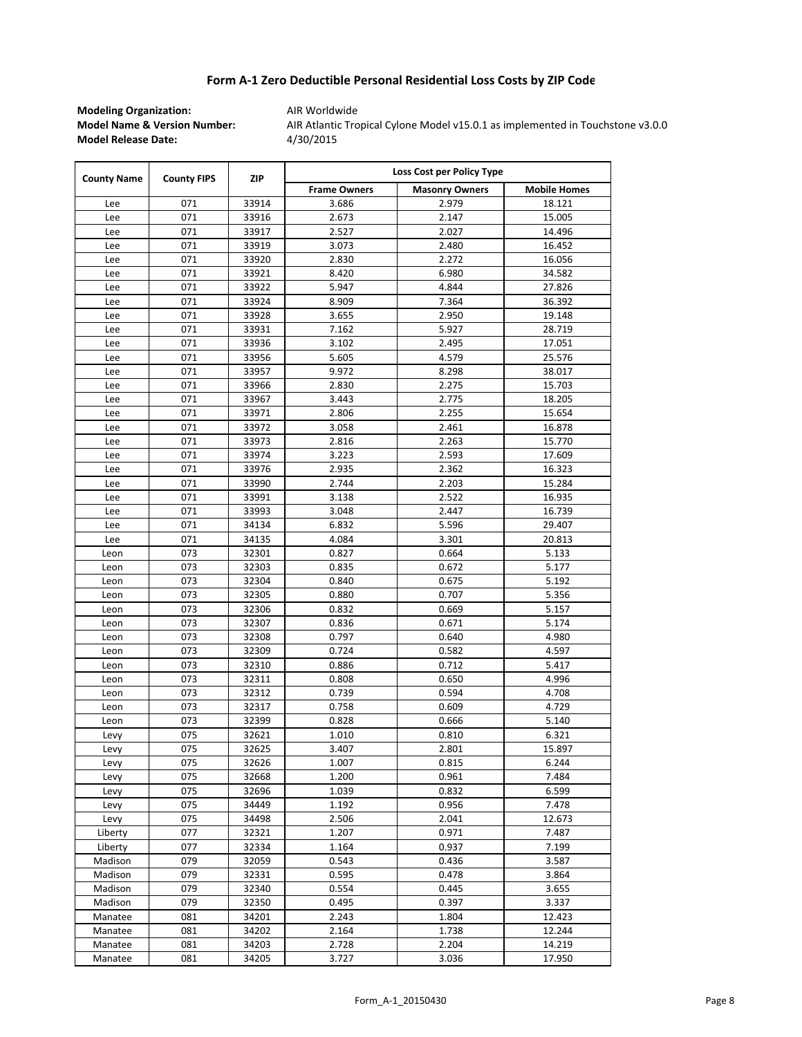**Modeling Organization:** AIR Worldwide **Model Release Date:** 4/30/2015

| <b>Mobile Homes</b><br><b>Frame Owners</b><br><b>Masonry Owners</b><br>071<br>33914<br>2.979<br>18.121<br>Lee<br>3.686<br>071<br>2.147<br>15.005<br>33916<br>2.673<br>Lee<br>071<br>2.527<br>2.027<br>14.496<br>33917<br>Lee<br>071<br>2.480<br>16.452<br>33919<br>3.073<br>Lee<br>071<br>2.272<br>Lee<br>33920<br>2.830<br>16.056<br>071<br>33921<br>8.420<br>6.980<br>34.582<br>Lee<br>071<br>33922<br>5.947<br>4.844<br>27.826<br>Lee<br>7.364<br>071<br>33924<br>8.909<br>36.392<br>Lee<br>071<br>33928<br>3.655<br>2.950<br>19.148<br>Lee<br>071<br>5.927<br>33931<br>7.162<br>28.719<br>Lee<br>071<br>2.495<br>33936<br>3.102<br>17.051<br>Lee<br>071<br>4.579<br>25.576<br>33956<br>5.605<br>Lee<br>9.972<br>8.298<br>071<br>33957<br>38.017<br>Lee<br>071<br>33966<br>2.830<br>2.275<br>15.703<br>Lee<br>071<br>33967<br>3.443<br>2.775<br>18.205<br>Lee<br>071<br>33971<br>2.806<br>2.255<br>15.654<br>Lee<br>071<br>2.461<br>33972<br>3.058<br>16.878<br>Lee<br>071<br>33973<br>2.816<br>2.263<br>15.770<br>Lee<br>071<br>2.593<br>33974<br>3.223<br>17.609<br>Lee<br>071<br>2.362<br>33976<br>2.935<br>16.323<br>Lee<br>071<br>2.744<br>2.203<br>15.284<br>33990<br>Lee<br>2.522<br>16.935<br>071<br>33991<br>3.138<br>Lee<br>2.447<br>071<br>33993<br>3.048<br>16.739<br>Lee<br>071<br>5.596<br>34134<br>6.832<br>29.407<br>Lee<br>071<br>34135<br>4.084<br>3.301<br>20.813<br>Lee<br>073<br>0.664<br>32301<br>0.827<br>5.133<br>Leon<br>5.177<br>073<br>32303<br>0.835<br>0.672<br>Leon<br>073<br>32304<br>0.675<br>5.192<br>Leon<br>0.840<br>073<br>32305<br>0.880<br>0.707<br>5.356<br>Leon<br>073<br>32306<br>0.832<br>0.669<br>5.157<br>Leon<br>073<br>32307<br>0.671<br>5.174<br>0.836<br>Leon<br>073<br>32308<br>0.797<br>0.640<br>4.980<br>Leon<br>073<br>32309<br>0.724<br>0.582<br>4.597<br>Leon<br>073<br>32310<br>0.886<br>0.712<br>5.417<br>Leon<br>073<br>32311<br>0.650<br>4.996<br>0.808<br>Leon<br>073<br>32312<br>0.739<br>0.594<br>4.708<br>Leon<br>073<br>Leon<br>32317<br>0.758<br>0.609<br>4.729<br>073<br>32399<br>0.828<br>0.666<br>5.140<br>Leon<br>6.321<br>075<br>32621<br>1.010<br>0.810<br>Levy<br>075<br>32625<br>3.407<br>2.801<br>15.897<br>Levy<br>075<br>32626<br>1.007<br>0.815<br>6.244<br>Levy<br>075<br>1.200<br>0.961<br>7.484<br>Levy<br>32668<br>075<br>32696<br>1.039<br>0.832<br>6.599<br>Levy<br>075<br>0.956<br>7.478<br>34449<br>1.192<br>Levy<br>075<br>2.041<br>12.673<br>34498<br>2.506<br>Levy<br>Liberty<br>077<br>32321<br>1.207<br>0.971<br>7.487<br>077<br>0.937<br>7.199<br>Liberty<br>32334<br>1.164<br>079<br>32059<br>0.543<br>0.436<br>3.587<br>Madison<br>0.478<br>Madison<br>079<br>32331<br>0.595<br>3.864<br>Madison<br>079<br>32340<br>0.554<br>0.445<br>3.655<br>Madison<br>079<br>0.397<br>32350<br>0.495<br>3.337<br>081<br>34201<br>2.243<br>1.804<br>12.423<br>Manatee<br>081<br>34202<br>2.164<br>1.738<br>12.244<br>Manatee<br>081<br>2.728<br>2.204<br>14.219<br>Manatee<br>34203 | <b>County Name</b> | <b>County FIPS</b> | <b>ZIP</b> | Loss Cost per Policy Type |       |        |  |
|-----------------------------------------------------------------------------------------------------------------------------------------------------------------------------------------------------------------------------------------------------------------------------------------------------------------------------------------------------------------------------------------------------------------------------------------------------------------------------------------------------------------------------------------------------------------------------------------------------------------------------------------------------------------------------------------------------------------------------------------------------------------------------------------------------------------------------------------------------------------------------------------------------------------------------------------------------------------------------------------------------------------------------------------------------------------------------------------------------------------------------------------------------------------------------------------------------------------------------------------------------------------------------------------------------------------------------------------------------------------------------------------------------------------------------------------------------------------------------------------------------------------------------------------------------------------------------------------------------------------------------------------------------------------------------------------------------------------------------------------------------------------------------------------------------------------------------------------------------------------------------------------------------------------------------------------------------------------------------------------------------------------------------------------------------------------------------------------------------------------------------------------------------------------------------------------------------------------------------------------------------------------------------------------------------------------------------------------------------------------------------------------------------------------------------------------------------------------------------------------------------------------------------------------------------------------------------------------------------------------------------------------------------------------------------------------------------------------------------------------------------------------------------------------------------------------------------------------------------------------------------------------------------------------------------------------------------------------------|--------------------|--------------------|------------|---------------------------|-------|--------|--|
|                                                                                                                                                                                                                                                                                                                                                                                                                                                                                                                                                                                                                                                                                                                                                                                                                                                                                                                                                                                                                                                                                                                                                                                                                                                                                                                                                                                                                                                                                                                                                                                                                                                                                                                                                                                                                                                                                                                                                                                                                                                                                                                                                                                                                                                                                                                                                                                                                                                                                                                                                                                                                                                                                                                                                                                                                                                                                                                                                                       |                    |                    |            |                           |       |        |  |
|                                                                                                                                                                                                                                                                                                                                                                                                                                                                                                                                                                                                                                                                                                                                                                                                                                                                                                                                                                                                                                                                                                                                                                                                                                                                                                                                                                                                                                                                                                                                                                                                                                                                                                                                                                                                                                                                                                                                                                                                                                                                                                                                                                                                                                                                                                                                                                                                                                                                                                                                                                                                                                                                                                                                                                                                                                                                                                                                                                       |                    |                    |            |                           |       |        |  |
|                                                                                                                                                                                                                                                                                                                                                                                                                                                                                                                                                                                                                                                                                                                                                                                                                                                                                                                                                                                                                                                                                                                                                                                                                                                                                                                                                                                                                                                                                                                                                                                                                                                                                                                                                                                                                                                                                                                                                                                                                                                                                                                                                                                                                                                                                                                                                                                                                                                                                                                                                                                                                                                                                                                                                                                                                                                                                                                                                                       |                    |                    |            |                           |       |        |  |
|                                                                                                                                                                                                                                                                                                                                                                                                                                                                                                                                                                                                                                                                                                                                                                                                                                                                                                                                                                                                                                                                                                                                                                                                                                                                                                                                                                                                                                                                                                                                                                                                                                                                                                                                                                                                                                                                                                                                                                                                                                                                                                                                                                                                                                                                                                                                                                                                                                                                                                                                                                                                                                                                                                                                                                                                                                                                                                                                                                       |                    |                    |            |                           |       |        |  |
|                                                                                                                                                                                                                                                                                                                                                                                                                                                                                                                                                                                                                                                                                                                                                                                                                                                                                                                                                                                                                                                                                                                                                                                                                                                                                                                                                                                                                                                                                                                                                                                                                                                                                                                                                                                                                                                                                                                                                                                                                                                                                                                                                                                                                                                                                                                                                                                                                                                                                                                                                                                                                                                                                                                                                                                                                                                                                                                                                                       |                    |                    |            |                           |       |        |  |
|                                                                                                                                                                                                                                                                                                                                                                                                                                                                                                                                                                                                                                                                                                                                                                                                                                                                                                                                                                                                                                                                                                                                                                                                                                                                                                                                                                                                                                                                                                                                                                                                                                                                                                                                                                                                                                                                                                                                                                                                                                                                                                                                                                                                                                                                                                                                                                                                                                                                                                                                                                                                                                                                                                                                                                                                                                                                                                                                                                       |                    |                    |            |                           |       |        |  |
|                                                                                                                                                                                                                                                                                                                                                                                                                                                                                                                                                                                                                                                                                                                                                                                                                                                                                                                                                                                                                                                                                                                                                                                                                                                                                                                                                                                                                                                                                                                                                                                                                                                                                                                                                                                                                                                                                                                                                                                                                                                                                                                                                                                                                                                                                                                                                                                                                                                                                                                                                                                                                                                                                                                                                                                                                                                                                                                                                                       |                    |                    |            |                           |       |        |  |
|                                                                                                                                                                                                                                                                                                                                                                                                                                                                                                                                                                                                                                                                                                                                                                                                                                                                                                                                                                                                                                                                                                                                                                                                                                                                                                                                                                                                                                                                                                                                                                                                                                                                                                                                                                                                                                                                                                                                                                                                                                                                                                                                                                                                                                                                                                                                                                                                                                                                                                                                                                                                                                                                                                                                                                                                                                                                                                                                                                       |                    |                    |            |                           |       |        |  |
|                                                                                                                                                                                                                                                                                                                                                                                                                                                                                                                                                                                                                                                                                                                                                                                                                                                                                                                                                                                                                                                                                                                                                                                                                                                                                                                                                                                                                                                                                                                                                                                                                                                                                                                                                                                                                                                                                                                                                                                                                                                                                                                                                                                                                                                                                                                                                                                                                                                                                                                                                                                                                                                                                                                                                                                                                                                                                                                                                                       |                    |                    |            |                           |       |        |  |
|                                                                                                                                                                                                                                                                                                                                                                                                                                                                                                                                                                                                                                                                                                                                                                                                                                                                                                                                                                                                                                                                                                                                                                                                                                                                                                                                                                                                                                                                                                                                                                                                                                                                                                                                                                                                                                                                                                                                                                                                                                                                                                                                                                                                                                                                                                                                                                                                                                                                                                                                                                                                                                                                                                                                                                                                                                                                                                                                                                       |                    |                    |            |                           |       |        |  |
|                                                                                                                                                                                                                                                                                                                                                                                                                                                                                                                                                                                                                                                                                                                                                                                                                                                                                                                                                                                                                                                                                                                                                                                                                                                                                                                                                                                                                                                                                                                                                                                                                                                                                                                                                                                                                                                                                                                                                                                                                                                                                                                                                                                                                                                                                                                                                                                                                                                                                                                                                                                                                                                                                                                                                                                                                                                                                                                                                                       |                    |                    |            |                           |       |        |  |
|                                                                                                                                                                                                                                                                                                                                                                                                                                                                                                                                                                                                                                                                                                                                                                                                                                                                                                                                                                                                                                                                                                                                                                                                                                                                                                                                                                                                                                                                                                                                                                                                                                                                                                                                                                                                                                                                                                                                                                                                                                                                                                                                                                                                                                                                                                                                                                                                                                                                                                                                                                                                                                                                                                                                                                                                                                                                                                                                                                       |                    |                    |            |                           |       |        |  |
|                                                                                                                                                                                                                                                                                                                                                                                                                                                                                                                                                                                                                                                                                                                                                                                                                                                                                                                                                                                                                                                                                                                                                                                                                                                                                                                                                                                                                                                                                                                                                                                                                                                                                                                                                                                                                                                                                                                                                                                                                                                                                                                                                                                                                                                                                                                                                                                                                                                                                                                                                                                                                                                                                                                                                                                                                                                                                                                                                                       |                    |                    |            |                           |       |        |  |
|                                                                                                                                                                                                                                                                                                                                                                                                                                                                                                                                                                                                                                                                                                                                                                                                                                                                                                                                                                                                                                                                                                                                                                                                                                                                                                                                                                                                                                                                                                                                                                                                                                                                                                                                                                                                                                                                                                                                                                                                                                                                                                                                                                                                                                                                                                                                                                                                                                                                                                                                                                                                                                                                                                                                                                                                                                                                                                                                                                       |                    |                    |            |                           |       |        |  |
|                                                                                                                                                                                                                                                                                                                                                                                                                                                                                                                                                                                                                                                                                                                                                                                                                                                                                                                                                                                                                                                                                                                                                                                                                                                                                                                                                                                                                                                                                                                                                                                                                                                                                                                                                                                                                                                                                                                                                                                                                                                                                                                                                                                                                                                                                                                                                                                                                                                                                                                                                                                                                                                                                                                                                                                                                                                                                                                                                                       |                    |                    |            |                           |       |        |  |
|                                                                                                                                                                                                                                                                                                                                                                                                                                                                                                                                                                                                                                                                                                                                                                                                                                                                                                                                                                                                                                                                                                                                                                                                                                                                                                                                                                                                                                                                                                                                                                                                                                                                                                                                                                                                                                                                                                                                                                                                                                                                                                                                                                                                                                                                                                                                                                                                                                                                                                                                                                                                                                                                                                                                                                                                                                                                                                                                                                       |                    |                    |            |                           |       |        |  |
|                                                                                                                                                                                                                                                                                                                                                                                                                                                                                                                                                                                                                                                                                                                                                                                                                                                                                                                                                                                                                                                                                                                                                                                                                                                                                                                                                                                                                                                                                                                                                                                                                                                                                                                                                                                                                                                                                                                                                                                                                                                                                                                                                                                                                                                                                                                                                                                                                                                                                                                                                                                                                                                                                                                                                                                                                                                                                                                                                                       |                    |                    |            |                           |       |        |  |
|                                                                                                                                                                                                                                                                                                                                                                                                                                                                                                                                                                                                                                                                                                                                                                                                                                                                                                                                                                                                                                                                                                                                                                                                                                                                                                                                                                                                                                                                                                                                                                                                                                                                                                                                                                                                                                                                                                                                                                                                                                                                                                                                                                                                                                                                                                                                                                                                                                                                                                                                                                                                                                                                                                                                                                                                                                                                                                                                                                       |                    |                    |            |                           |       |        |  |
|                                                                                                                                                                                                                                                                                                                                                                                                                                                                                                                                                                                                                                                                                                                                                                                                                                                                                                                                                                                                                                                                                                                                                                                                                                                                                                                                                                                                                                                                                                                                                                                                                                                                                                                                                                                                                                                                                                                                                                                                                                                                                                                                                                                                                                                                                                                                                                                                                                                                                                                                                                                                                                                                                                                                                                                                                                                                                                                                                                       |                    |                    |            |                           |       |        |  |
|                                                                                                                                                                                                                                                                                                                                                                                                                                                                                                                                                                                                                                                                                                                                                                                                                                                                                                                                                                                                                                                                                                                                                                                                                                                                                                                                                                                                                                                                                                                                                                                                                                                                                                                                                                                                                                                                                                                                                                                                                                                                                                                                                                                                                                                                                                                                                                                                                                                                                                                                                                                                                                                                                                                                                                                                                                                                                                                                                                       |                    |                    |            |                           |       |        |  |
|                                                                                                                                                                                                                                                                                                                                                                                                                                                                                                                                                                                                                                                                                                                                                                                                                                                                                                                                                                                                                                                                                                                                                                                                                                                                                                                                                                                                                                                                                                                                                                                                                                                                                                                                                                                                                                                                                                                                                                                                                                                                                                                                                                                                                                                                                                                                                                                                                                                                                                                                                                                                                                                                                                                                                                                                                                                                                                                                                                       |                    |                    |            |                           |       |        |  |
|                                                                                                                                                                                                                                                                                                                                                                                                                                                                                                                                                                                                                                                                                                                                                                                                                                                                                                                                                                                                                                                                                                                                                                                                                                                                                                                                                                                                                                                                                                                                                                                                                                                                                                                                                                                                                                                                                                                                                                                                                                                                                                                                                                                                                                                                                                                                                                                                                                                                                                                                                                                                                                                                                                                                                                                                                                                                                                                                                                       |                    |                    |            |                           |       |        |  |
|                                                                                                                                                                                                                                                                                                                                                                                                                                                                                                                                                                                                                                                                                                                                                                                                                                                                                                                                                                                                                                                                                                                                                                                                                                                                                                                                                                                                                                                                                                                                                                                                                                                                                                                                                                                                                                                                                                                                                                                                                                                                                                                                                                                                                                                                                                                                                                                                                                                                                                                                                                                                                                                                                                                                                                                                                                                                                                                                                                       |                    |                    |            |                           |       |        |  |
|                                                                                                                                                                                                                                                                                                                                                                                                                                                                                                                                                                                                                                                                                                                                                                                                                                                                                                                                                                                                                                                                                                                                                                                                                                                                                                                                                                                                                                                                                                                                                                                                                                                                                                                                                                                                                                                                                                                                                                                                                                                                                                                                                                                                                                                                                                                                                                                                                                                                                                                                                                                                                                                                                                                                                                                                                                                                                                                                                                       |                    |                    |            |                           |       |        |  |
|                                                                                                                                                                                                                                                                                                                                                                                                                                                                                                                                                                                                                                                                                                                                                                                                                                                                                                                                                                                                                                                                                                                                                                                                                                                                                                                                                                                                                                                                                                                                                                                                                                                                                                                                                                                                                                                                                                                                                                                                                                                                                                                                                                                                                                                                                                                                                                                                                                                                                                                                                                                                                                                                                                                                                                                                                                                                                                                                                                       |                    |                    |            |                           |       |        |  |
|                                                                                                                                                                                                                                                                                                                                                                                                                                                                                                                                                                                                                                                                                                                                                                                                                                                                                                                                                                                                                                                                                                                                                                                                                                                                                                                                                                                                                                                                                                                                                                                                                                                                                                                                                                                                                                                                                                                                                                                                                                                                                                                                                                                                                                                                                                                                                                                                                                                                                                                                                                                                                                                                                                                                                                                                                                                                                                                                                                       |                    |                    |            |                           |       |        |  |
|                                                                                                                                                                                                                                                                                                                                                                                                                                                                                                                                                                                                                                                                                                                                                                                                                                                                                                                                                                                                                                                                                                                                                                                                                                                                                                                                                                                                                                                                                                                                                                                                                                                                                                                                                                                                                                                                                                                                                                                                                                                                                                                                                                                                                                                                                                                                                                                                                                                                                                                                                                                                                                                                                                                                                                                                                                                                                                                                                                       |                    |                    |            |                           |       |        |  |
|                                                                                                                                                                                                                                                                                                                                                                                                                                                                                                                                                                                                                                                                                                                                                                                                                                                                                                                                                                                                                                                                                                                                                                                                                                                                                                                                                                                                                                                                                                                                                                                                                                                                                                                                                                                                                                                                                                                                                                                                                                                                                                                                                                                                                                                                                                                                                                                                                                                                                                                                                                                                                                                                                                                                                                                                                                                                                                                                                                       |                    |                    |            |                           |       |        |  |
|                                                                                                                                                                                                                                                                                                                                                                                                                                                                                                                                                                                                                                                                                                                                                                                                                                                                                                                                                                                                                                                                                                                                                                                                                                                                                                                                                                                                                                                                                                                                                                                                                                                                                                                                                                                                                                                                                                                                                                                                                                                                                                                                                                                                                                                                                                                                                                                                                                                                                                                                                                                                                                                                                                                                                                                                                                                                                                                                                                       |                    |                    |            |                           |       |        |  |
|                                                                                                                                                                                                                                                                                                                                                                                                                                                                                                                                                                                                                                                                                                                                                                                                                                                                                                                                                                                                                                                                                                                                                                                                                                                                                                                                                                                                                                                                                                                                                                                                                                                                                                                                                                                                                                                                                                                                                                                                                                                                                                                                                                                                                                                                                                                                                                                                                                                                                                                                                                                                                                                                                                                                                                                                                                                                                                                                                                       |                    |                    |            |                           |       |        |  |
|                                                                                                                                                                                                                                                                                                                                                                                                                                                                                                                                                                                                                                                                                                                                                                                                                                                                                                                                                                                                                                                                                                                                                                                                                                                                                                                                                                                                                                                                                                                                                                                                                                                                                                                                                                                                                                                                                                                                                                                                                                                                                                                                                                                                                                                                                                                                                                                                                                                                                                                                                                                                                                                                                                                                                                                                                                                                                                                                                                       |                    |                    |            |                           |       |        |  |
|                                                                                                                                                                                                                                                                                                                                                                                                                                                                                                                                                                                                                                                                                                                                                                                                                                                                                                                                                                                                                                                                                                                                                                                                                                                                                                                                                                                                                                                                                                                                                                                                                                                                                                                                                                                                                                                                                                                                                                                                                                                                                                                                                                                                                                                                                                                                                                                                                                                                                                                                                                                                                                                                                                                                                                                                                                                                                                                                                                       |                    |                    |            |                           |       |        |  |
|                                                                                                                                                                                                                                                                                                                                                                                                                                                                                                                                                                                                                                                                                                                                                                                                                                                                                                                                                                                                                                                                                                                                                                                                                                                                                                                                                                                                                                                                                                                                                                                                                                                                                                                                                                                                                                                                                                                                                                                                                                                                                                                                                                                                                                                                                                                                                                                                                                                                                                                                                                                                                                                                                                                                                                                                                                                                                                                                                                       |                    |                    |            |                           |       |        |  |
|                                                                                                                                                                                                                                                                                                                                                                                                                                                                                                                                                                                                                                                                                                                                                                                                                                                                                                                                                                                                                                                                                                                                                                                                                                                                                                                                                                                                                                                                                                                                                                                                                                                                                                                                                                                                                                                                                                                                                                                                                                                                                                                                                                                                                                                                                                                                                                                                                                                                                                                                                                                                                                                                                                                                                                                                                                                                                                                                                                       |                    |                    |            |                           |       |        |  |
|                                                                                                                                                                                                                                                                                                                                                                                                                                                                                                                                                                                                                                                                                                                                                                                                                                                                                                                                                                                                                                                                                                                                                                                                                                                                                                                                                                                                                                                                                                                                                                                                                                                                                                                                                                                                                                                                                                                                                                                                                                                                                                                                                                                                                                                                                                                                                                                                                                                                                                                                                                                                                                                                                                                                                                                                                                                                                                                                                                       |                    |                    |            |                           |       |        |  |
|                                                                                                                                                                                                                                                                                                                                                                                                                                                                                                                                                                                                                                                                                                                                                                                                                                                                                                                                                                                                                                                                                                                                                                                                                                                                                                                                                                                                                                                                                                                                                                                                                                                                                                                                                                                                                                                                                                                                                                                                                                                                                                                                                                                                                                                                                                                                                                                                                                                                                                                                                                                                                                                                                                                                                                                                                                                                                                                                                                       |                    |                    |            |                           |       |        |  |
|                                                                                                                                                                                                                                                                                                                                                                                                                                                                                                                                                                                                                                                                                                                                                                                                                                                                                                                                                                                                                                                                                                                                                                                                                                                                                                                                                                                                                                                                                                                                                                                                                                                                                                                                                                                                                                                                                                                                                                                                                                                                                                                                                                                                                                                                                                                                                                                                                                                                                                                                                                                                                                                                                                                                                                                                                                                                                                                                                                       |                    |                    |            |                           |       |        |  |
|                                                                                                                                                                                                                                                                                                                                                                                                                                                                                                                                                                                                                                                                                                                                                                                                                                                                                                                                                                                                                                                                                                                                                                                                                                                                                                                                                                                                                                                                                                                                                                                                                                                                                                                                                                                                                                                                                                                                                                                                                                                                                                                                                                                                                                                                                                                                                                                                                                                                                                                                                                                                                                                                                                                                                                                                                                                                                                                                                                       |                    |                    |            |                           |       |        |  |
|                                                                                                                                                                                                                                                                                                                                                                                                                                                                                                                                                                                                                                                                                                                                                                                                                                                                                                                                                                                                                                                                                                                                                                                                                                                                                                                                                                                                                                                                                                                                                                                                                                                                                                                                                                                                                                                                                                                                                                                                                                                                                                                                                                                                                                                                                                                                                                                                                                                                                                                                                                                                                                                                                                                                                                                                                                                                                                                                                                       |                    |                    |            |                           |       |        |  |
|                                                                                                                                                                                                                                                                                                                                                                                                                                                                                                                                                                                                                                                                                                                                                                                                                                                                                                                                                                                                                                                                                                                                                                                                                                                                                                                                                                                                                                                                                                                                                                                                                                                                                                                                                                                                                                                                                                                                                                                                                                                                                                                                                                                                                                                                                                                                                                                                                                                                                                                                                                                                                                                                                                                                                                                                                                                                                                                                                                       |                    |                    |            |                           |       |        |  |
|                                                                                                                                                                                                                                                                                                                                                                                                                                                                                                                                                                                                                                                                                                                                                                                                                                                                                                                                                                                                                                                                                                                                                                                                                                                                                                                                                                                                                                                                                                                                                                                                                                                                                                                                                                                                                                                                                                                                                                                                                                                                                                                                                                                                                                                                                                                                                                                                                                                                                                                                                                                                                                                                                                                                                                                                                                                                                                                                                                       |                    |                    |            |                           |       |        |  |
|                                                                                                                                                                                                                                                                                                                                                                                                                                                                                                                                                                                                                                                                                                                                                                                                                                                                                                                                                                                                                                                                                                                                                                                                                                                                                                                                                                                                                                                                                                                                                                                                                                                                                                                                                                                                                                                                                                                                                                                                                                                                                                                                                                                                                                                                                                                                                                                                                                                                                                                                                                                                                                                                                                                                                                                                                                                                                                                                                                       |                    |                    |            |                           |       |        |  |
|                                                                                                                                                                                                                                                                                                                                                                                                                                                                                                                                                                                                                                                                                                                                                                                                                                                                                                                                                                                                                                                                                                                                                                                                                                                                                                                                                                                                                                                                                                                                                                                                                                                                                                                                                                                                                                                                                                                                                                                                                                                                                                                                                                                                                                                                                                                                                                                                                                                                                                                                                                                                                                                                                                                                                                                                                                                                                                                                                                       |                    |                    |            |                           |       |        |  |
|                                                                                                                                                                                                                                                                                                                                                                                                                                                                                                                                                                                                                                                                                                                                                                                                                                                                                                                                                                                                                                                                                                                                                                                                                                                                                                                                                                                                                                                                                                                                                                                                                                                                                                                                                                                                                                                                                                                                                                                                                                                                                                                                                                                                                                                                                                                                                                                                                                                                                                                                                                                                                                                                                                                                                                                                                                                                                                                                                                       |                    |                    |            |                           |       |        |  |
|                                                                                                                                                                                                                                                                                                                                                                                                                                                                                                                                                                                                                                                                                                                                                                                                                                                                                                                                                                                                                                                                                                                                                                                                                                                                                                                                                                                                                                                                                                                                                                                                                                                                                                                                                                                                                                                                                                                                                                                                                                                                                                                                                                                                                                                                                                                                                                                                                                                                                                                                                                                                                                                                                                                                                                                                                                                                                                                                                                       |                    |                    |            |                           |       |        |  |
|                                                                                                                                                                                                                                                                                                                                                                                                                                                                                                                                                                                                                                                                                                                                                                                                                                                                                                                                                                                                                                                                                                                                                                                                                                                                                                                                                                                                                                                                                                                                                                                                                                                                                                                                                                                                                                                                                                                                                                                                                                                                                                                                                                                                                                                                                                                                                                                                                                                                                                                                                                                                                                                                                                                                                                                                                                                                                                                                                                       |                    |                    |            |                           |       |        |  |
|                                                                                                                                                                                                                                                                                                                                                                                                                                                                                                                                                                                                                                                                                                                                                                                                                                                                                                                                                                                                                                                                                                                                                                                                                                                                                                                                                                                                                                                                                                                                                                                                                                                                                                                                                                                                                                                                                                                                                                                                                                                                                                                                                                                                                                                                                                                                                                                                                                                                                                                                                                                                                                                                                                                                                                                                                                                                                                                                                                       |                    |                    |            |                           |       |        |  |
|                                                                                                                                                                                                                                                                                                                                                                                                                                                                                                                                                                                                                                                                                                                                                                                                                                                                                                                                                                                                                                                                                                                                                                                                                                                                                                                                                                                                                                                                                                                                                                                                                                                                                                                                                                                                                                                                                                                                                                                                                                                                                                                                                                                                                                                                                                                                                                                                                                                                                                                                                                                                                                                                                                                                                                                                                                                                                                                                                                       |                    |                    |            |                           |       |        |  |
|                                                                                                                                                                                                                                                                                                                                                                                                                                                                                                                                                                                                                                                                                                                                                                                                                                                                                                                                                                                                                                                                                                                                                                                                                                                                                                                                                                                                                                                                                                                                                                                                                                                                                                                                                                                                                                                                                                                                                                                                                                                                                                                                                                                                                                                                                                                                                                                                                                                                                                                                                                                                                                                                                                                                                                                                                                                                                                                                                                       |                    |                    |            |                           |       |        |  |
|                                                                                                                                                                                                                                                                                                                                                                                                                                                                                                                                                                                                                                                                                                                                                                                                                                                                                                                                                                                                                                                                                                                                                                                                                                                                                                                                                                                                                                                                                                                                                                                                                                                                                                                                                                                                                                                                                                                                                                                                                                                                                                                                                                                                                                                                                                                                                                                                                                                                                                                                                                                                                                                                                                                                                                                                                                                                                                                                                                       |                    |                    |            |                           |       |        |  |
|                                                                                                                                                                                                                                                                                                                                                                                                                                                                                                                                                                                                                                                                                                                                                                                                                                                                                                                                                                                                                                                                                                                                                                                                                                                                                                                                                                                                                                                                                                                                                                                                                                                                                                                                                                                                                                                                                                                                                                                                                                                                                                                                                                                                                                                                                                                                                                                                                                                                                                                                                                                                                                                                                                                                                                                                                                                                                                                                                                       |                    |                    |            |                           |       |        |  |
|                                                                                                                                                                                                                                                                                                                                                                                                                                                                                                                                                                                                                                                                                                                                                                                                                                                                                                                                                                                                                                                                                                                                                                                                                                                                                                                                                                                                                                                                                                                                                                                                                                                                                                                                                                                                                                                                                                                                                                                                                                                                                                                                                                                                                                                                                                                                                                                                                                                                                                                                                                                                                                                                                                                                                                                                                                                                                                                                                                       |                    |                    |            |                           |       |        |  |
|                                                                                                                                                                                                                                                                                                                                                                                                                                                                                                                                                                                                                                                                                                                                                                                                                                                                                                                                                                                                                                                                                                                                                                                                                                                                                                                                                                                                                                                                                                                                                                                                                                                                                                                                                                                                                                                                                                                                                                                                                                                                                                                                                                                                                                                                                                                                                                                                                                                                                                                                                                                                                                                                                                                                                                                                                                                                                                                                                                       |                    |                    |            |                           |       |        |  |
|                                                                                                                                                                                                                                                                                                                                                                                                                                                                                                                                                                                                                                                                                                                                                                                                                                                                                                                                                                                                                                                                                                                                                                                                                                                                                                                                                                                                                                                                                                                                                                                                                                                                                                                                                                                                                                                                                                                                                                                                                                                                                                                                                                                                                                                                                                                                                                                                                                                                                                                                                                                                                                                                                                                                                                                                                                                                                                                                                                       |                    |                    |            |                           |       |        |  |
|                                                                                                                                                                                                                                                                                                                                                                                                                                                                                                                                                                                                                                                                                                                                                                                                                                                                                                                                                                                                                                                                                                                                                                                                                                                                                                                                                                                                                                                                                                                                                                                                                                                                                                                                                                                                                                                                                                                                                                                                                                                                                                                                                                                                                                                                                                                                                                                                                                                                                                                                                                                                                                                                                                                                                                                                                                                                                                                                                                       |                    |                    |            |                           |       |        |  |
|                                                                                                                                                                                                                                                                                                                                                                                                                                                                                                                                                                                                                                                                                                                                                                                                                                                                                                                                                                                                                                                                                                                                                                                                                                                                                                                                                                                                                                                                                                                                                                                                                                                                                                                                                                                                                                                                                                                                                                                                                                                                                                                                                                                                                                                                                                                                                                                                                                                                                                                                                                                                                                                                                                                                                                                                                                                                                                                                                                       | Manatee            | 081                | 34205      | 3.727                     | 3.036 | 17.950 |  |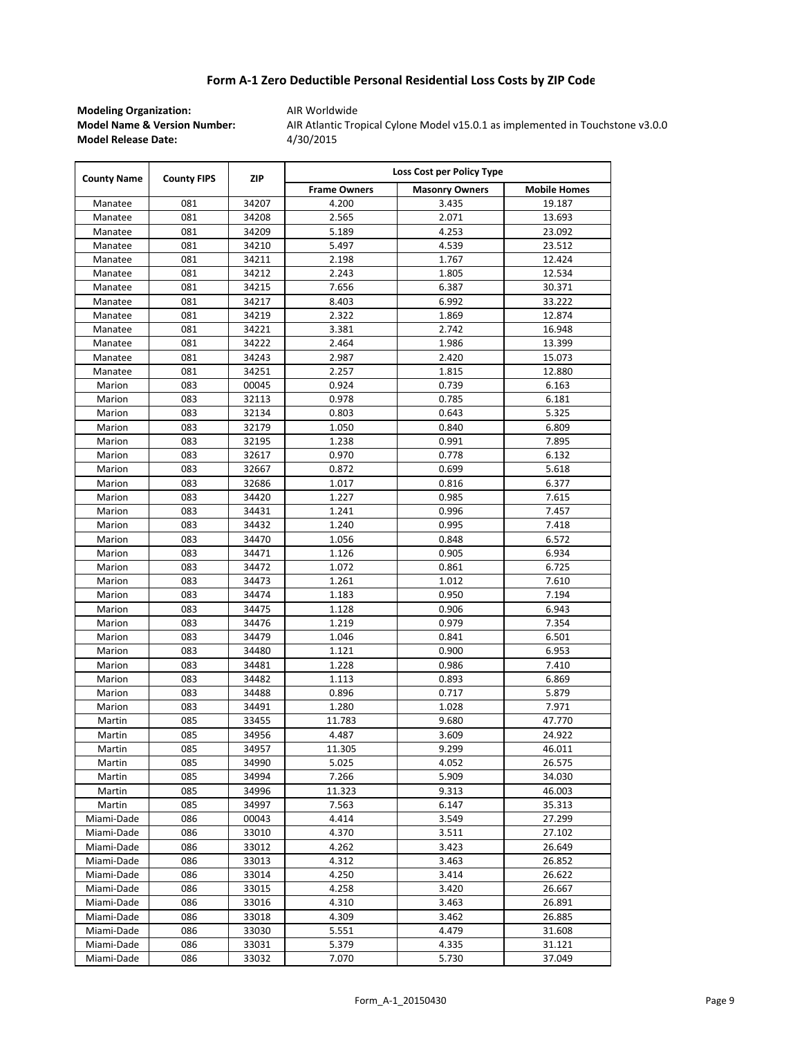**Modeling Organization:** AIR Worldwide **Model Release Date:** 4/30/2015

| <b>County Name</b> | <b>County FIPS</b> | <b>ZIP</b> | Loss Cost per Policy Type |                       |                     |  |
|--------------------|--------------------|------------|---------------------------|-----------------------|---------------------|--|
|                    |                    |            | <b>Frame Owners</b>       | <b>Masonry Owners</b> | <b>Mobile Homes</b> |  |
| Manatee            | 081                | 34207      | 4.200                     | 3.435                 | 19.187              |  |
| Manatee            | 081                | 34208      | 2.565                     | 2.071                 | 13.693              |  |
| Manatee            | 081                | 34209      | 5.189                     | 4.253                 | 23.092              |  |
| Manatee            | 081                | 34210      | 5.497                     | 4.539                 | 23.512              |  |
| Manatee            | 081                | 34211      | 2.198                     | 1.767                 | 12.424              |  |
| Manatee            | 081                | 34212      | 2.243                     | 1.805                 | 12.534              |  |
| Manatee            | 081                | 34215      | 7.656                     | 6.387                 | 30.371              |  |
| Manatee            | 081                | 34217      | 8.403                     | 6.992                 | 33.222              |  |
| Manatee            | 081                | 34219      | 2.322                     | 1.869                 | 12.874              |  |
| Manatee            | 081                | 34221      | 3.381                     | 2.742                 | 16.948              |  |
| Manatee            | 081                | 34222      | 2.464                     | 1.986                 | 13.399              |  |
| Manatee            | 081                | 34243      | 2.987                     | 2.420                 | 15.073              |  |
| Manatee            | 081                | 34251      | 2.257                     | 1.815                 | 12.880              |  |
| Marion             | 083                | 00045      | 0.924                     | 0.739                 | 6.163               |  |
| Marion             | 083                | 32113      | 0.978                     | 0.785                 | 6.181               |  |
| Marion             | 083                | 32134      | 0.803                     | 0.643                 | 5.325               |  |
| Marion             | 083                | 32179      | 1.050                     | 0.840                 | 6.809               |  |
| Marion             | 083                | 32195      | 1.238                     | 0.991                 | 7.895               |  |
| Marion             | 083                | 32617      | 0.970                     | 0.778                 | 6.132               |  |
| Marion             | 083                | 32667      | 0.872                     | 0.699                 | 5.618               |  |
| Marion             | 083                | 32686      | 1.017                     | 0.816                 | 6.377               |  |
| Marion             | 083                | 34420      | 1.227                     | 0.985                 | 7.615               |  |
| Marion             | 083                | 34431      | 1.241                     | 0.996                 | 7.457               |  |
| Marion             | 083                | 34432      | 1.240                     | 0.995                 | 7.418               |  |
| Marion             | 083                | 34470      | 1.056                     | 0.848                 | 6.572               |  |
| Marion             | 083                | 34471      | 1.126                     | 0.905                 | 6.934               |  |
| Marion             | 083                | 34472      | 1.072                     | 0.861                 | 6.725               |  |
| Marion             | 083                | 34473      | 1.261                     | 1.012                 | 7.610               |  |
| Marion             | 083                | 34474      | 1.183                     | 0.950                 | 7.194               |  |
| Marion             | 083                | 34475      | 1.128                     | 0.906                 | 6.943               |  |
| Marion             | 083                | 34476      | 1.219                     | 0.979                 | 7.354               |  |
| Marion             | 083                | 34479      | 1.046                     | 0.841                 | 6.501               |  |
| Marion             | 083                | 34480      | 1.121                     | 0.900                 | 6.953               |  |
| Marion             | 083                | 34481      | 1.228                     | 0.986                 | 7.410               |  |
| Marion             | 083                | 34482      | 1.113                     | 0.893                 | 6.869               |  |
| Marion             | 083                | 34488      | 0.896                     | 0.717                 | 5.879               |  |
| Marion             | 083                | 34491      | 1.280                     | 1.028                 | 7.971               |  |
| Martin             | 085                | 33455      | 11.783                    | 9.680                 | 47.770              |  |
| Martin             | 085                | 34956      | 4.487                     | 3.609                 | 24.922              |  |
| Martin             | 085                | 34957      | 11.305                    | 9.299                 | 46.011              |  |
| Martin             | 085                | 34990      | 5.025                     | 4.052                 | 26.575              |  |
| Martin             | 085                | 34994      | 7.266                     | 5.909                 | 34.030              |  |
| Martin             | 085                | 34996      | 11.323                    | 9.313                 | 46.003              |  |
| Martin             | 085                | 34997      | 7.563                     | 6.147                 | 35.313              |  |
| Miami-Dade         | 086                | 00043      | 4.414                     | 3.549                 | 27.299              |  |
| Miami-Dade         | 086                | 33010      | 4.370                     | 3.511                 | 27.102              |  |
| Miami-Dade         | 086                | 33012      | 4.262                     | 3.423                 | 26.649              |  |
| Miami-Dade         | 086                | 33013      | 4.312                     | 3.463                 | 26.852              |  |
| Miami-Dade         | 086                | 33014      | 4.250                     | 3.414                 | 26.622              |  |
| Miami-Dade         | 086                | 33015      | 4.258                     | 3.420                 | 26.667              |  |
| Miami-Dade         | 086                | 33016      | 4.310                     | 3.463                 | 26.891              |  |
| Miami-Dade         | 086                | 33018      | 4.309                     | 3.462                 | 26.885              |  |
| Miami-Dade         | 086                | 33030      | 5.551                     | 4.479                 | 31.608              |  |
| Miami-Dade         | 086                | 33031      | 5.379                     | 4.335                 | 31.121              |  |
| Miami-Dade         | 086                | 33032      | 7.070                     | 5.730                 | 37.049              |  |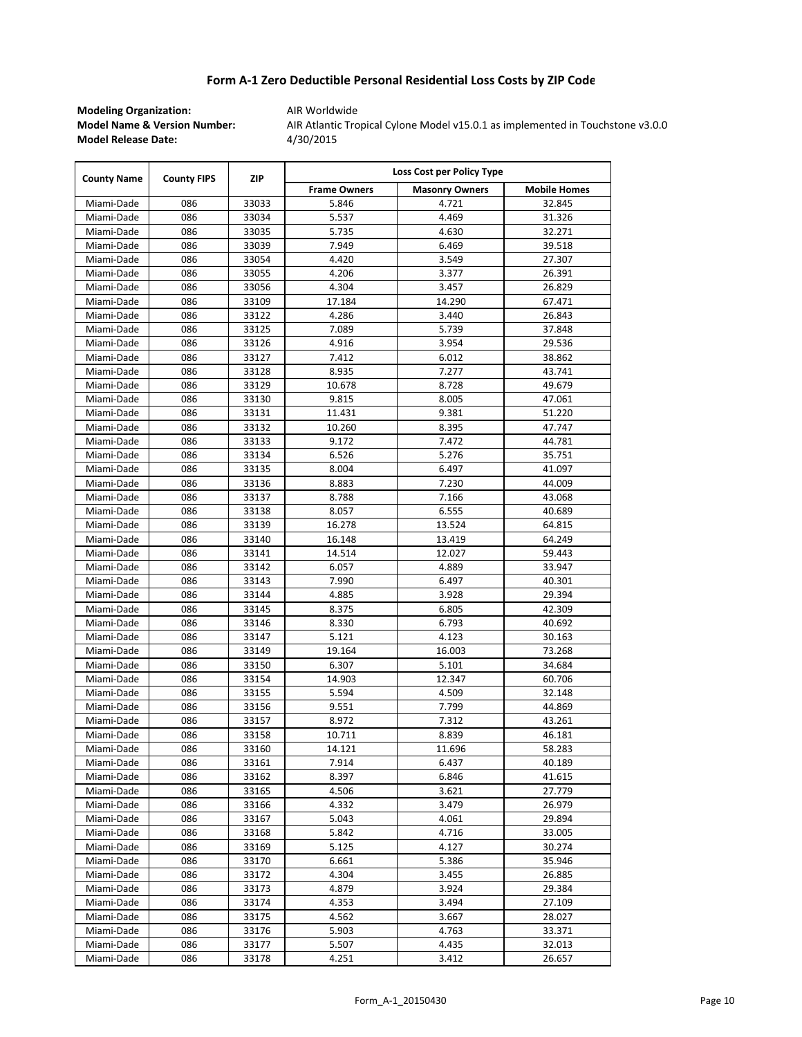**Modeling Organization:** AIR Worldwide **Model Release Date:** 4/30/2015

| <b>County Name</b> | <b>County FIPS</b> | <b>ZIP</b> | Loss Cost per Policy Type |                       |                     |  |
|--------------------|--------------------|------------|---------------------------|-----------------------|---------------------|--|
|                    |                    |            | <b>Frame Owners</b>       | <b>Masonry Owners</b> | <b>Mobile Homes</b> |  |
| Miami-Dade         | 086                | 33033      | 5.846                     | 4.721                 | 32.845              |  |
| Miami-Dade         | 086                | 33034      | 5.537                     | 4.469                 | 31.326              |  |
| Miami-Dade         | 086                | 33035      | 5.735                     | 4.630                 | 32.271              |  |
| Miami-Dade         | 086                | 33039      | 7.949                     | 6.469                 | 39.518              |  |
| Miami-Dade         | 086                | 33054      | 4.420                     | 3.549                 | 27.307              |  |
| Miami-Dade         | 086                | 33055      | 4.206                     | 3.377                 | 26.391              |  |
| Miami-Dade         | 086                | 33056      | 4.304                     | 3.457                 | 26.829              |  |
| Miami-Dade         | 086                | 33109      | 17.184                    | 14.290                | 67.471              |  |
| Miami-Dade         | 086                | 33122      | 4.286                     | 3.440                 | 26.843              |  |
| Miami-Dade         | 086                | 33125      | 7.089                     | 5.739                 | 37.848              |  |
| Miami-Dade         | 086                | 33126      | 4.916                     | 3.954                 | 29.536              |  |
| Miami-Dade         | 086                | 33127      | 7.412                     | 6.012                 | 38.862              |  |
| Miami-Dade         | 086                | 33128      | 8.935                     | 7.277                 | 43.741              |  |
| Miami-Dade         | 086                | 33129      | 10.678                    | 8.728                 | 49.679              |  |
| Miami-Dade         | 086                | 33130      | 9.815                     | 8.005                 | 47.061              |  |
| Miami-Dade         | 086                | 33131      | 11.431                    | 9.381                 | 51.220              |  |
| Miami-Dade         | 086                | 33132      | 10.260                    | 8.395                 | 47.747              |  |
| Miami-Dade         | 086                | 33133      | 9.172                     | 7.472                 | 44.781              |  |
| Miami-Dade         | 086                | 33134      | 6.526                     | 5.276                 | 35.751              |  |
| Miami-Dade         | 086                | 33135      | 8.004                     | 6.497                 | 41.097              |  |
| Miami-Dade         | 086                | 33136      | 8.883                     | 7.230                 | 44.009              |  |
| Miami-Dade         | 086                | 33137      | 8.788                     | 7.166                 | 43.068              |  |
| Miami-Dade         | 086                | 33138      | 8.057                     | 6.555                 | 40.689              |  |
| Miami-Dade         | 086                | 33139      | 16.278                    | 13.524                | 64.815              |  |
| Miami-Dade         | 086                | 33140      | 16.148                    | 13.419                | 64.249              |  |
| Miami-Dade         | 086                | 33141      | 14.514                    | 12.027                | 59.443              |  |
| Miami-Dade         | 086                | 33142      | 6.057                     | 4.889                 | 33.947              |  |
| Miami-Dade         | 086                | 33143      | 7.990                     | 6.497                 | 40.301              |  |
| Miami-Dade         | 086                | 33144      | 4.885                     | 3.928                 | 29.394              |  |
| Miami-Dade         | 086                | 33145      | 8.375                     | 6.805                 | 42.309              |  |
| Miami-Dade         | 086                | 33146      | 8.330                     | 6.793                 | 40.692              |  |
| Miami-Dade         | 086                | 33147      | 5.121                     | 4.123                 | 30.163              |  |
| Miami-Dade         | 086                | 33149      | 19.164                    | 16.003                | 73.268              |  |
| Miami-Dade         | 086                | 33150      | 6.307                     | 5.101                 | 34.684              |  |
| Miami-Dade         | 086                | 33154      | 14.903                    | 12.347                | 60.706              |  |
| Miami-Dade         | 086                | 33155      | 5.594                     | 4.509                 | 32.148              |  |
| Miami-Dade         | 086                | 33156      | 9.551                     | 7.799                 | 44.869              |  |
| Miami-Dade         | 086                | 33157      | 8.972                     | 7.312                 | 43.261              |  |
| Miami-Dade         | 086                | 33158      | 10.711                    | 8.839                 | 46.181              |  |
| Miami-Dade         | 086                | 33160      | 14.121                    | 11.696                | 58.283              |  |
| Miami-Dade         | 086                | 33161      | 7.914                     | 6.437                 | 40.189              |  |
| Miami-Dade         | 086                | 33162      | 8.397                     | 6.846                 | 41.615              |  |
| Miami-Dade         | 086                | 33165      | 4.506                     | 3.621                 | 27.779              |  |
| Miami-Dade         | 086                | 33166      | 4.332                     | 3.479                 | 26.979              |  |
| Miami-Dade         | 086                | 33167      | 5.043                     | 4.061                 | 29.894              |  |
| Miami-Dade         | 086                | 33168      | 5.842                     | 4.716                 | 33.005              |  |
| Miami-Dade         | 086                | 33169      | 5.125                     | 4.127                 | 30.274              |  |
| Miami-Dade         | 086                | 33170      | 6.661                     | 5.386                 | 35.946              |  |
| Miami-Dade         | 086                | 33172      | 4.304                     | 3.455                 | 26.885              |  |
| Miami-Dade         | 086                | 33173      | 4.879                     | 3.924                 | 29.384              |  |
| Miami-Dade         | 086                | 33174      | 4.353                     | 3.494                 | 27.109              |  |
| Miami-Dade         | 086                | 33175      | 4.562                     | 3.667                 | 28.027              |  |
| Miami-Dade         | 086                | 33176      | 5.903                     | 4.763                 | 33.371              |  |
| Miami-Dade         | 086                | 33177      | 5.507                     | 4.435                 | 32.013              |  |
| Miami-Dade         | 086                | 33178      | 4.251                     | 3.412                 | 26.657              |  |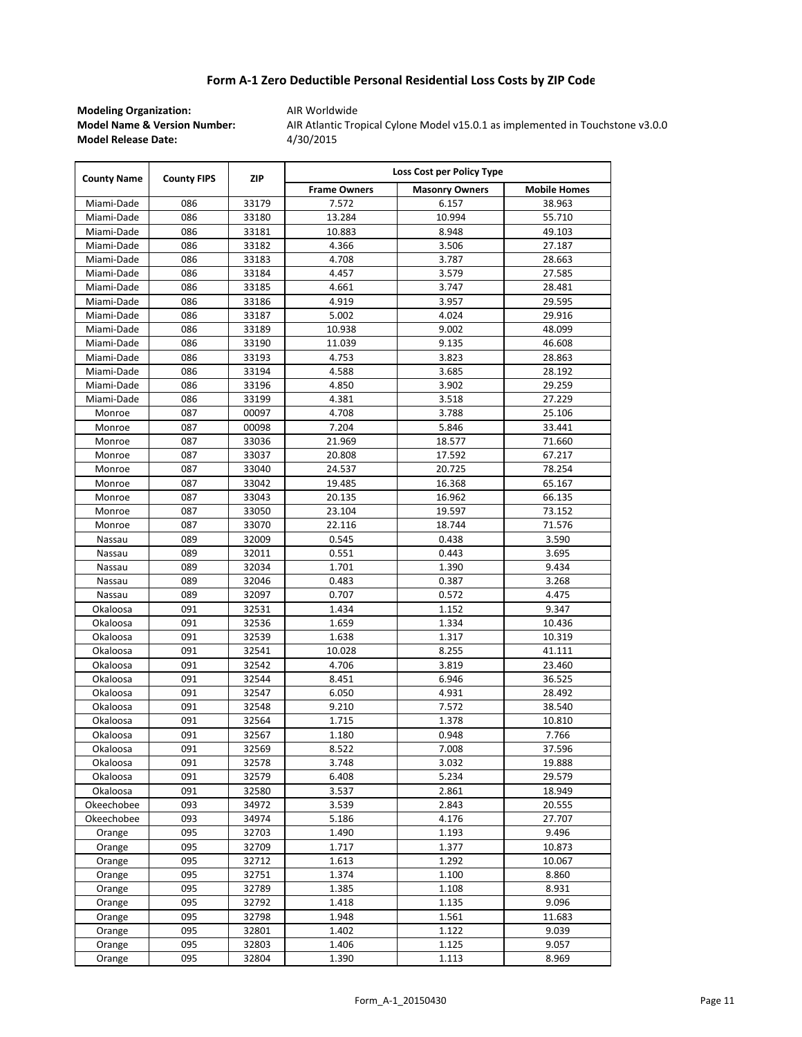**Modeling Organization:** AIR Worldwide **Model Release Date:** 4/30/2015

| <b>Mobile Homes</b><br><b>Frame Owners</b><br><b>Masonry Owners</b><br>Miami-Dade<br>086<br>33179<br>6.157<br>38.963<br>7.572<br>086<br>10.994<br>Miami-Dade<br>33180<br>13.284<br>55.710<br>086<br>8.948<br>49.103<br>Miami-Dade<br>33181<br>10.883<br>3.506<br>27.187<br>Miami-Dade<br>086<br>33182<br>4.366<br>Miami-Dade<br>086<br>33183<br>4.708<br>3.787<br>28.663<br>086<br>33184<br>4.457<br>3.579<br>27.585<br>Miami-Dade<br>086<br>3.747<br>Miami-Dade<br>33185<br>4.661<br>28.481<br>3.957<br>29.595<br>Miami-Dade<br>086<br>33186<br>4.919<br>Miami-Dade<br>086<br>33187<br>5.002<br>4.024<br>29.916<br>086<br>Miami-Dade<br>33189<br>10.938<br>9.002<br>48.099<br>086<br>33190<br>11.039<br>9.135<br>46.608<br>Miami-Dade<br>086<br>33193<br>4.753<br>3.823<br>28.863<br>Miami-Dade<br>3.685<br>28.192<br>Miami-Dade<br>086<br>33194<br>4.588<br>Miami-Dade<br>086<br>33196<br>4.850<br>3.902<br>29.259<br>086<br>33199<br>3.518<br>27.229<br>Miami-Dade<br>4.381<br>087<br>00097<br>4.708<br>3.788<br>25.106<br>Monroe<br>7.204<br>5.846<br>33.441<br>Monroe<br>087<br>00098<br>087<br>33036<br>21.969<br>18.577<br>71.660<br>Monroe<br>087<br>33037<br>20.808<br>17.592<br>67.217<br>Monroe<br>087<br>33040<br>24.537<br>20.725<br>78.254<br>Monroe<br>087<br>33042<br>19.485<br>16.368<br>65.167<br>Monroe<br>16.962<br>66.135<br>Monroe<br>087<br>33043<br>20.135<br>087<br>33050<br>23.104<br>19.597<br>73.152<br>Monroe<br>087<br>33070<br>22.116<br>18.744<br>71.576<br>Monroe<br>089<br>32009<br>0.545<br>0.438<br>3.590<br>Nassau<br>32011<br>0.443<br>089<br>0.551<br>3.695<br>Nassau<br>089<br>1.390<br>32034<br>1.701<br>9.434<br>Nassau<br>089<br>32046<br>0.387<br>Nassau<br>0.483<br>3.268<br>089<br>0.572<br>32097<br>0.707<br>4.475<br>Nassau<br>091<br>32531<br>1.434<br>1.152<br>9.347<br>Okaloosa<br>091<br>32536<br>1.334<br>Okaloosa<br>1.659<br>10.436<br>Okaloosa<br>091<br>32539<br>1.638<br>1.317<br>10.319<br>Okaloosa<br>091<br>32541<br>10.028<br>8.255<br>41.111<br>091<br>Okaloosa<br>32542<br>4.706<br>3.819<br>23.460<br>091<br>32544<br>8.451<br>6.946<br>36.525<br>Okaloosa<br>091<br>32547<br>4.931<br>28.492<br>Okaloosa<br>6.050<br>7.572<br>32548<br>38.540<br>Okaloosa<br>091<br>9.210<br>091<br>1.378<br>Okaloosa<br>32564<br>1.715<br>10.810<br>091<br>32567<br>1.180<br>0.948<br>7.766<br>Okaloosa<br>091<br>32569<br>8.522<br>37.596<br>7.008<br>Okaloosa<br>Okaloosa<br>091<br>32578<br>3.748<br>3.032<br>19.888<br>Okaloosa<br>091<br>32579<br>6.408<br>5.234<br>29.579<br>091<br>Okaloosa<br>32580<br>3.537<br>2.861<br>18.949<br>093<br>3.539<br>2.843<br>20.555<br>Okeechobee<br>34972<br>093<br>34974<br>4.176<br>27.707<br>Okeechobee<br>5.186<br>095<br>32703<br>1.490<br>1.193<br>9.496<br>Orange<br>095<br>1.717<br>1.377<br>Orange<br>32709<br>10.873<br>095<br>32712<br>1.613<br>1.292<br>Orange<br>10.067<br>095<br>32751<br>1.374<br>1.100<br>8.860<br>Orange<br>095<br>32789<br>1.385<br>1.108<br>8.931<br>Orange<br>095<br>32792<br>1.418<br>1.135<br>9.096<br>Orange<br>095<br>32798<br>1.948<br>1.561<br>11.683<br>Orange<br>095<br>1.122<br>32801<br>1.402<br>9.039<br>Orange<br>095<br>1.406<br>1.125<br>9.057<br>32803<br>Orange<br>Orange<br>095<br>32804<br>1.390<br>1.113<br>8.969 | <b>County Name</b> | <b>County FIPS</b> | <b>ZIP</b> | Loss Cost per Policy Type |  |  |  |
|---------------------------------------------------------------------------------------------------------------------------------------------------------------------------------------------------------------------------------------------------------------------------------------------------------------------------------------------------------------------------------------------------------------------------------------------------------------------------------------------------------------------------------------------------------------------------------------------------------------------------------------------------------------------------------------------------------------------------------------------------------------------------------------------------------------------------------------------------------------------------------------------------------------------------------------------------------------------------------------------------------------------------------------------------------------------------------------------------------------------------------------------------------------------------------------------------------------------------------------------------------------------------------------------------------------------------------------------------------------------------------------------------------------------------------------------------------------------------------------------------------------------------------------------------------------------------------------------------------------------------------------------------------------------------------------------------------------------------------------------------------------------------------------------------------------------------------------------------------------------------------------------------------------------------------------------------------------------------------------------------------------------------------------------------------------------------------------------------------------------------------------------------------------------------------------------------------------------------------------------------------------------------------------------------------------------------------------------------------------------------------------------------------------------------------------------------------------------------------------------------------------------------------------------------------------------------------------------------------------------------------------------------------------------------------------------------------------------------------------------------------------------------------------------------------------------------------------------------------------------------------------------------------------------------------------------------------------------------------------------------------------------------------------------------------------------------------------------------------------------------------------------------------------------------------------------------------------------------------------------------------------------|--------------------|--------------------|------------|---------------------------|--|--|--|
|                                                                                                                                                                                                                                                                                                                                                                                                                                                                                                                                                                                                                                                                                                                                                                                                                                                                                                                                                                                                                                                                                                                                                                                                                                                                                                                                                                                                                                                                                                                                                                                                                                                                                                                                                                                                                                                                                                                                                                                                                                                                                                                                                                                                                                                                                                                                                                                                                                                                                                                                                                                                                                                                                                                                                                                                                                                                                                                                                                                                                                                                                                                                                                                                                                                                     |                    |                    |            |                           |  |  |  |
|                                                                                                                                                                                                                                                                                                                                                                                                                                                                                                                                                                                                                                                                                                                                                                                                                                                                                                                                                                                                                                                                                                                                                                                                                                                                                                                                                                                                                                                                                                                                                                                                                                                                                                                                                                                                                                                                                                                                                                                                                                                                                                                                                                                                                                                                                                                                                                                                                                                                                                                                                                                                                                                                                                                                                                                                                                                                                                                                                                                                                                                                                                                                                                                                                                                                     |                    |                    |            |                           |  |  |  |
|                                                                                                                                                                                                                                                                                                                                                                                                                                                                                                                                                                                                                                                                                                                                                                                                                                                                                                                                                                                                                                                                                                                                                                                                                                                                                                                                                                                                                                                                                                                                                                                                                                                                                                                                                                                                                                                                                                                                                                                                                                                                                                                                                                                                                                                                                                                                                                                                                                                                                                                                                                                                                                                                                                                                                                                                                                                                                                                                                                                                                                                                                                                                                                                                                                                                     |                    |                    |            |                           |  |  |  |
|                                                                                                                                                                                                                                                                                                                                                                                                                                                                                                                                                                                                                                                                                                                                                                                                                                                                                                                                                                                                                                                                                                                                                                                                                                                                                                                                                                                                                                                                                                                                                                                                                                                                                                                                                                                                                                                                                                                                                                                                                                                                                                                                                                                                                                                                                                                                                                                                                                                                                                                                                                                                                                                                                                                                                                                                                                                                                                                                                                                                                                                                                                                                                                                                                                                                     |                    |                    |            |                           |  |  |  |
|                                                                                                                                                                                                                                                                                                                                                                                                                                                                                                                                                                                                                                                                                                                                                                                                                                                                                                                                                                                                                                                                                                                                                                                                                                                                                                                                                                                                                                                                                                                                                                                                                                                                                                                                                                                                                                                                                                                                                                                                                                                                                                                                                                                                                                                                                                                                                                                                                                                                                                                                                                                                                                                                                                                                                                                                                                                                                                                                                                                                                                                                                                                                                                                                                                                                     |                    |                    |            |                           |  |  |  |
|                                                                                                                                                                                                                                                                                                                                                                                                                                                                                                                                                                                                                                                                                                                                                                                                                                                                                                                                                                                                                                                                                                                                                                                                                                                                                                                                                                                                                                                                                                                                                                                                                                                                                                                                                                                                                                                                                                                                                                                                                                                                                                                                                                                                                                                                                                                                                                                                                                                                                                                                                                                                                                                                                                                                                                                                                                                                                                                                                                                                                                                                                                                                                                                                                                                                     |                    |                    |            |                           |  |  |  |
|                                                                                                                                                                                                                                                                                                                                                                                                                                                                                                                                                                                                                                                                                                                                                                                                                                                                                                                                                                                                                                                                                                                                                                                                                                                                                                                                                                                                                                                                                                                                                                                                                                                                                                                                                                                                                                                                                                                                                                                                                                                                                                                                                                                                                                                                                                                                                                                                                                                                                                                                                                                                                                                                                                                                                                                                                                                                                                                                                                                                                                                                                                                                                                                                                                                                     |                    |                    |            |                           |  |  |  |
|                                                                                                                                                                                                                                                                                                                                                                                                                                                                                                                                                                                                                                                                                                                                                                                                                                                                                                                                                                                                                                                                                                                                                                                                                                                                                                                                                                                                                                                                                                                                                                                                                                                                                                                                                                                                                                                                                                                                                                                                                                                                                                                                                                                                                                                                                                                                                                                                                                                                                                                                                                                                                                                                                                                                                                                                                                                                                                                                                                                                                                                                                                                                                                                                                                                                     |                    |                    |            |                           |  |  |  |
|                                                                                                                                                                                                                                                                                                                                                                                                                                                                                                                                                                                                                                                                                                                                                                                                                                                                                                                                                                                                                                                                                                                                                                                                                                                                                                                                                                                                                                                                                                                                                                                                                                                                                                                                                                                                                                                                                                                                                                                                                                                                                                                                                                                                                                                                                                                                                                                                                                                                                                                                                                                                                                                                                                                                                                                                                                                                                                                                                                                                                                                                                                                                                                                                                                                                     |                    |                    |            |                           |  |  |  |
|                                                                                                                                                                                                                                                                                                                                                                                                                                                                                                                                                                                                                                                                                                                                                                                                                                                                                                                                                                                                                                                                                                                                                                                                                                                                                                                                                                                                                                                                                                                                                                                                                                                                                                                                                                                                                                                                                                                                                                                                                                                                                                                                                                                                                                                                                                                                                                                                                                                                                                                                                                                                                                                                                                                                                                                                                                                                                                                                                                                                                                                                                                                                                                                                                                                                     |                    |                    |            |                           |  |  |  |
|                                                                                                                                                                                                                                                                                                                                                                                                                                                                                                                                                                                                                                                                                                                                                                                                                                                                                                                                                                                                                                                                                                                                                                                                                                                                                                                                                                                                                                                                                                                                                                                                                                                                                                                                                                                                                                                                                                                                                                                                                                                                                                                                                                                                                                                                                                                                                                                                                                                                                                                                                                                                                                                                                                                                                                                                                                                                                                                                                                                                                                                                                                                                                                                                                                                                     |                    |                    |            |                           |  |  |  |
|                                                                                                                                                                                                                                                                                                                                                                                                                                                                                                                                                                                                                                                                                                                                                                                                                                                                                                                                                                                                                                                                                                                                                                                                                                                                                                                                                                                                                                                                                                                                                                                                                                                                                                                                                                                                                                                                                                                                                                                                                                                                                                                                                                                                                                                                                                                                                                                                                                                                                                                                                                                                                                                                                                                                                                                                                                                                                                                                                                                                                                                                                                                                                                                                                                                                     |                    |                    |            |                           |  |  |  |
|                                                                                                                                                                                                                                                                                                                                                                                                                                                                                                                                                                                                                                                                                                                                                                                                                                                                                                                                                                                                                                                                                                                                                                                                                                                                                                                                                                                                                                                                                                                                                                                                                                                                                                                                                                                                                                                                                                                                                                                                                                                                                                                                                                                                                                                                                                                                                                                                                                                                                                                                                                                                                                                                                                                                                                                                                                                                                                                                                                                                                                                                                                                                                                                                                                                                     |                    |                    |            |                           |  |  |  |
|                                                                                                                                                                                                                                                                                                                                                                                                                                                                                                                                                                                                                                                                                                                                                                                                                                                                                                                                                                                                                                                                                                                                                                                                                                                                                                                                                                                                                                                                                                                                                                                                                                                                                                                                                                                                                                                                                                                                                                                                                                                                                                                                                                                                                                                                                                                                                                                                                                                                                                                                                                                                                                                                                                                                                                                                                                                                                                                                                                                                                                                                                                                                                                                                                                                                     |                    |                    |            |                           |  |  |  |
|                                                                                                                                                                                                                                                                                                                                                                                                                                                                                                                                                                                                                                                                                                                                                                                                                                                                                                                                                                                                                                                                                                                                                                                                                                                                                                                                                                                                                                                                                                                                                                                                                                                                                                                                                                                                                                                                                                                                                                                                                                                                                                                                                                                                                                                                                                                                                                                                                                                                                                                                                                                                                                                                                                                                                                                                                                                                                                                                                                                                                                                                                                                                                                                                                                                                     |                    |                    |            |                           |  |  |  |
|                                                                                                                                                                                                                                                                                                                                                                                                                                                                                                                                                                                                                                                                                                                                                                                                                                                                                                                                                                                                                                                                                                                                                                                                                                                                                                                                                                                                                                                                                                                                                                                                                                                                                                                                                                                                                                                                                                                                                                                                                                                                                                                                                                                                                                                                                                                                                                                                                                                                                                                                                                                                                                                                                                                                                                                                                                                                                                                                                                                                                                                                                                                                                                                                                                                                     |                    |                    |            |                           |  |  |  |
|                                                                                                                                                                                                                                                                                                                                                                                                                                                                                                                                                                                                                                                                                                                                                                                                                                                                                                                                                                                                                                                                                                                                                                                                                                                                                                                                                                                                                                                                                                                                                                                                                                                                                                                                                                                                                                                                                                                                                                                                                                                                                                                                                                                                                                                                                                                                                                                                                                                                                                                                                                                                                                                                                                                                                                                                                                                                                                                                                                                                                                                                                                                                                                                                                                                                     |                    |                    |            |                           |  |  |  |
|                                                                                                                                                                                                                                                                                                                                                                                                                                                                                                                                                                                                                                                                                                                                                                                                                                                                                                                                                                                                                                                                                                                                                                                                                                                                                                                                                                                                                                                                                                                                                                                                                                                                                                                                                                                                                                                                                                                                                                                                                                                                                                                                                                                                                                                                                                                                                                                                                                                                                                                                                                                                                                                                                                                                                                                                                                                                                                                                                                                                                                                                                                                                                                                                                                                                     |                    |                    |            |                           |  |  |  |
|                                                                                                                                                                                                                                                                                                                                                                                                                                                                                                                                                                                                                                                                                                                                                                                                                                                                                                                                                                                                                                                                                                                                                                                                                                                                                                                                                                                                                                                                                                                                                                                                                                                                                                                                                                                                                                                                                                                                                                                                                                                                                                                                                                                                                                                                                                                                                                                                                                                                                                                                                                                                                                                                                                                                                                                                                                                                                                                                                                                                                                                                                                                                                                                                                                                                     |                    |                    |            |                           |  |  |  |
|                                                                                                                                                                                                                                                                                                                                                                                                                                                                                                                                                                                                                                                                                                                                                                                                                                                                                                                                                                                                                                                                                                                                                                                                                                                                                                                                                                                                                                                                                                                                                                                                                                                                                                                                                                                                                                                                                                                                                                                                                                                                                                                                                                                                                                                                                                                                                                                                                                                                                                                                                                                                                                                                                                                                                                                                                                                                                                                                                                                                                                                                                                                                                                                                                                                                     |                    |                    |            |                           |  |  |  |
|                                                                                                                                                                                                                                                                                                                                                                                                                                                                                                                                                                                                                                                                                                                                                                                                                                                                                                                                                                                                                                                                                                                                                                                                                                                                                                                                                                                                                                                                                                                                                                                                                                                                                                                                                                                                                                                                                                                                                                                                                                                                                                                                                                                                                                                                                                                                                                                                                                                                                                                                                                                                                                                                                                                                                                                                                                                                                                                                                                                                                                                                                                                                                                                                                                                                     |                    |                    |            |                           |  |  |  |
|                                                                                                                                                                                                                                                                                                                                                                                                                                                                                                                                                                                                                                                                                                                                                                                                                                                                                                                                                                                                                                                                                                                                                                                                                                                                                                                                                                                                                                                                                                                                                                                                                                                                                                                                                                                                                                                                                                                                                                                                                                                                                                                                                                                                                                                                                                                                                                                                                                                                                                                                                                                                                                                                                                                                                                                                                                                                                                                                                                                                                                                                                                                                                                                                                                                                     |                    |                    |            |                           |  |  |  |
|                                                                                                                                                                                                                                                                                                                                                                                                                                                                                                                                                                                                                                                                                                                                                                                                                                                                                                                                                                                                                                                                                                                                                                                                                                                                                                                                                                                                                                                                                                                                                                                                                                                                                                                                                                                                                                                                                                                                                                                                                                                                                                                                                                                                                                                                                                                                                                                                                                                                                                                                                                                                                                                                                                                                                                                                                                                                                                                                                                                                                                                                                                                                                                                                                                                                     |                    |                    |            |                           |  |  |  |
|                                                                                                                                                                                                                                                                                                                                                                                                                                                                                                                                                                                                                                                                                                                                                                                                                                                                                                                                                                                                                                                                                                                                                                                                                                                                                                                                                                                                                                                                                                                                                                                                                                                                                                                                                                                                                                                                                                                                                                                                                                                                                                                                                                                                                                                                                                                                                                                                                                                                                                                                                                                                                                                                                                                                                                                                                                                                                                                                                                                                                                                                                                                                                                                                                                                                     |                    |                    |            |                           |  |  |  |
|                                                                                                                                                                                                                                                                                                                                                                                                                                                                                                                                                                                                                                                                                                                                                                                                                                                                                                                                                                                                                                                                                                                                                                                                                                                                                                                                                                                                                                                                                                                                                                                                                                                                                                                                                                                                                                                                                                                                                                                                                                                                                                                                                                                                                                                                                                                                                                                                                                                                                                                                                                                                                                                                                                                                                                                                                                                                                                                                                                                                                                                                                                                                                                                                                                                                     |                    |                    |            |                           |  |  |  |
|                                                                                                                                                                                                                                                                                                                                                                                                                                                                                                                                                                                                                                                                                                                                                                                                                                                                                                                                                                                                                                                                                                                                                                                                                                                                                                                                                                                                                                                                                                                                                                                                                                                                                                                                                                                                                                                                                                                                                                                                                                                                                                                                                                                                                                                                                                                                                                                                                                                                                                                                                                                                                                                                                                                                                                                                                                                                                                                                                                                                                                                                                                                                                                                                                                                                     |                    |                    |            |                           |  |  |  |
|                                                                                                                                                                                                                                                                                                                                                                                                                                                                                                                                                                                                                                                                                                                                                                                                                                                                                                                                                                                                                                                                                                                                                                                                                                                                                                                                                                                                                                                                                                                                                                                                                                                                                                                                                                                                                                                                                                                                                                                                                                                                                                                                                                                                                                                                                                                                                                                                                                                                                                                                                                                                                                                                                                                                                                                                                                                                                                                                                                                                                                                                                                                                                                                                                                                                     |                    |                    |            |                           |  |  |  |
|                                                                                                                                                                                                                                                                                                                                                                                                                                                                                                                                                                                                                                                                                                                                                                                                                                                                                                                                                                                                                                                                                                                                                                                                                                                                                                                                                                                                                                                                                                                                                                                                                                                                                                                                                                                                                                                                                                                                                                                                                                                                                                                                                                                                                                                                                                                                                                                                                                                                                                                                                                                                                                                                                                                                                                                                                                                                                                                                                                                                                                                                                                                                                                                                                                                                     |                    |                    |            |                           |  |  |  |
|                                                                                                                                                                                                                                                                                                                                                                                                                                                                                                                                                                                                                                                                                                                                                                                                                                                                                                                                                                                                                                                                                                                                                                                                                                                                                                                                                                                                                                                                                                                                                                                                                                                                                                                                                                                                                                                                                                                                                                                                                                                                                                                                                                                                                                                                                                                                                                                                                                                                                                                                                                                                                                                                                                                                                                                                                                                                                                                                                                                                                                                                                                                                                                                                                                                                     |                    |                    |            |                           |  |  |  |
|                                                                                                                                                                                                                                                                                                                                                                                                                                                                                                                                                                                                                                                                                                                                                                                                                                                                                                                                                                                                                                                                                                                                                                                                                                                                                                                                                                                                                                                                                                                                                                                                                                                                                                                                                                                                                                                                                                                                                                                                                                                                                                                                                                                                                                                                                                                                                                                                                                                                                                                                                                                                                                                                                                                                                                                                                                                                                                                                                                                                                                                                                                                                                                                                                                                                     |                    |                    |            |                           |  |  |  |
|                                                                                                                                                                                                                                                                                                                                                                                                                                                                                                                                                                                                                                                                                                                                                                                                                                                                                                                                                                                                                                                                                                                                                                                                                                                                                                                                                                                                                                                                                                                                                                                                                                                                                                                                                                                                                                                                                                                                                                                                                                                                                                                                                                                                                                                                                                                                                                                                                                                                                                                                                                                                                                                                                                                                                                                                                                                                                                                                                                                                                                                                                                                                                                                                                                                                     |                    |                    |            |                           |  |  |  |
|                                                                                                                                                                                                                                                                                                                                                                                                                                                                                                                                                                                                                                                                                                                                                                                                                                                                                                                                                                                                                                                                                                                                                                                                                                                                                                                                                                                                                                                                                                                                                                                                                                                                                                                                                                                                                                                                                                                                                                                                                                                                                                                                                                                                                                                                                                                                                                                                                                                                                                                                                                                                                                                                                                                                                                                                                                                                                                                                                                                                                                                                                                                                                                                                                                                                     |                    |                    |            |                           |  |  |  |
|                                                                                                                                                                                                                                                                                                                                                                                                                                                                                                                                                                                                                                                                                                                                                                                                                                                                                                                                                                                                                                                                                                                                                                                                                                                                                                                                                                                                                                                                                                                                                                                                                                                                                                                                                                                                                                                                                                                                                                                                                                                                                                                                                                                                                                                                                                                                                                                                                                                                                                                                                                                                                                                                                                                                                                                                                                                                                                                                                                                                                                                                                                                                                                                                                                                                     |                    |                    |            |                           |  |  |  |
|                                                                                                                                                                                                                                                                                                                                                                                                                                                                                                                                                                                                                                                                                                                                                                                                                                                                                                                                                                                                                                                                                                                                                                                                                                                                                                                                                                                                                                                                                                                                                                                                                                                                                                                                                                                                                                                                                                                                                                                                                                                                                                                                                                                                                                                                                                                                                                                                                                                                                                                                                                                                                                                                                                                                                                                                                                                                                                                                                                                                                                                                                                                                                                                                                                                                     |                    |                    |            |                           |  |  |  |
|                                                                                                                                                                                                                                                                                                                                                                                                                                                                                                                                                                                                                                                                                                                                                                                                                                                                                                                                                                                                                                                                                                                                                                                                                                                                                                                                                                                                                                                                                                                                                                                                                                                                                                                                                                                                                                                                                                                                                                                                                                                                                                                                                                                                                                                                                                                                                                                                                                                                                                                                                                                                                                                                                                                                                                                                                                                                                                                                                                                                                                                                                                                                                                                                                                                                     |                    |                    |            |                           |  |  |  |
|                                                                                                                                                                                                                                                                                                                                                                                                                                                                                                                                                                                                                                                                                                                                                                                                                                                                                                                                                                                                                                                                                                                                                                                                                                                                                                                                                                                                                                                                                                                                                                                                                                                                                                                                                                                                                                                                                                                                                                                                                                                                                                                                                                                                                                                                                                                                                                                                                                                                                                                                                                                                                                                                                                                                                                                                                                                                                                                                                                                                                                                                                                                                                                                                                                                                     |                    |                    |            |                           |  |  |  |
|                                                                                                                                                                                                                                                                                                                                                                                                                                                                                                                                                                                                                                                                                                                                                                                                                                                                                                                                                                                                                                                                                                                                                                                                                                                                                                                                                                                                                                                                                                                                                                                                                                                                                                                                                                                                                                                                                                                                                                                                                                                                                                                                                                                                                                                                                                                                                                                                                                                                                                                                                                                                                                                                                                                                                                                                                                                                                                                                                                                                                                                                                                                                                                                                                                                                     |                    |                    |            |                           |  |  |  |
|                                                                                                                                                                                                                                                                                                                                                                                                                                                                                                                                                                                                                                                                                                                                                                                                                                                                                                                                                                                                                                                                                                                                                                                                                                                                                                                                                                                                                                                                                                                                                                                                                                                                                                                                                                                                                                                                                                                                                                                                                                                                                                                                                                                                                                                                                                                                                                                                                                                                                                                                                                                                                                                                                                                                                                                                                                                                                                                                                                                                                                                                                                                                                                                                                                                                     |                    |                    |            |                           |  |  |  |
|                                                                                                                                                                                                                                                                                                                                                                                                                                                                                                                                                                                                                                                                                                                                                                                                                                                                                                                                                                                                                                                                                                                                                                                                                                                                                                                                                                                                                                                                                                                                                                                                                                                                                                                                                                                                                                                                                                                                                                                                                                                                                                                                                                                                                                                                                                                                                                                                                                                                                                                                                                                                                                                                                                                                                                                                                                                                                                                                                                                                                                                                                                                                                                                                                                                                     |                    |                    |            |                           |  |  |  |
|                                                                                                                                                                                                                                                                                                                                                                                                                                                                                                                                                                                                                                                                                                                                                                                                                                                                                                                                                                                                                                                                                                                                                                                                                                                                                                                                                                                                                                                                                                                                                                                                                                                                                                                                                                                                                                                                                                                                                                                                                                                                                                                                                                                                                                                                                                                                                                                                                                                                                                                                                                                                                                                                                                                                                                                                                                                                                                                                                                                                                                                                                                                                                                                                                                                                     |                    |                    |            |                           |  |  |  |
|                                                                                                                                                                                                                                                                                                                                                                                                                                                                                                                                                                                                                                                                                                                                                                                                                                                                                                                                                                                                                                                                                                                                                                                                                                                                                                                                                                                                                                                                                                                                                                                                                                                                                                                                                                                                                                                                                                                                                                                                                                                                                                                                                                                                                                                                                                                                                                                                                                                                                                                                                                                                                                                                                                                                                                                                                                                                                                                                                                                                                                                                                                                                                                                                                                                                     |                    |                    |            |                           |  |  |  |
|                                                                                                                                                                                                                                                                                                                                                                                                                                                                                                                                                                                                                                                                                                                                                                                                                                                                                                                                                                                                                                                                                                                                                                                                                                                                                                                                                                                                                                                                                                                                                                                                                                                                                                                                                                                                                                                                                                                                                                                                                                                                                                                                                                                                                                                                                                                                                                                                                                                                                                                                                                                                                                                                                                                                                                                                                                                                                                                                                                                                                                                                                                                                                                                                                                                                     |                    |                    |            |                           |  |  |  |
|                                                                                                                                                                                                                                                                                                                                                                                                                                                                                                                                                                                                                                                                                                                                                                                                                                                                                                                                                                                                                                                                                                                                                                                                                                                                                                                                                                                                                                                                                                                                                                                                                                                                                                                                                                                                                                                                                                                                                                                                                                                                                                                                                                                                                                                                                                                                                                                                                                                                                                                                                                                                                                                                                                                                                                                                                                                                                                                                                                                                                                                                                                                                                                                                                                                                     |                    |                    |            |                           |  |  |  |
|                                                                                                                                                                                                                                                                                                                                                                                                                                                                                                                                                                                                                                                                                                                                                                                                                                                                                                                                                                                                                                                                                                                                                                                                                                                                                                                                                                                                                                                                                                                                                                                                                                                                                                                                                                                                                                                                                                                                                                                                                                                                                                                                                                                                                                                                                                                                                                                                                                                                                                                                                                                                                                                                                                                                                                                                                                                                                                                                                                                                                                                                                                                                                                                                                                                                     |                    |                    |            |                           |  |  |  |
|                                                                                                                                                                                                                                                                                                                                                                                                                                                                                                                                                                                                                                                                                                                                                                                                                                                                                                                                                                                                                                                                                                                                                                                                                                                                                                                                                                                                                                                                                                                                                                                                                                                                                                                                                                                                                                                                                                                                                                                                                                                                                                                                                                                                                                                                                                                                                                                                                                                                                                                                                                                                                                                                                                                                                                                                                                                                                                                                                                                                                                                                                                                                                                                                                                                                     |                    |                    |            |                           |  |  |  |
|                                                                                                                                                                                                                                                                                                                                                                                                                                                                                                                                                                                                                                                                                                                                                                                                                                                                                                                                                                                                                                                                                                                                                                                                                                                                                                                                                                                                                                                                                                                                                                                                                                                                                                                                                                                                                                                                                                                                                                                                                                                                                                                                                                                                                                                                                                                                                                                                                                                                                                                                                                                                                                                                                                                                                                                                                                                                                                                                                                                                                                                                                                                                                                                                                                                                     |                    |                    |            |                           |  |  |  |
|                                                                                                                                                                                                                                                                                                                                                                                                                                                                                                                                                                                                                                                                                                                                                                                                                                                                                                                                                                                                                                                                                                                                                                                                                                                                                                                                                                                                                                                                                                                                                                                                                                                                                                                                                                                                                                                                                                                                                                                                                                                                                                                                                                                                                                                                                                                                                                                                                                                                                                                                                                                                                                                                                                                                                                                                                                                                                                                                                                                                                                                                                                                                                                                                                                                                     |                    |                    |            |                           |  |  |  |
|                                                                                                                                                                                                                                                                                                                                                                                                                                                                                                                                                                                                                                                                                                                                                                                                                                                                                                                                                                                                                                                                                                                                                                                                                                                                                                                                                                                                                                                                                                                                                                                                                                                                                                                                                                                                                                                                                                                                                                                                                                                                                                                                                                                                                                                                                                                                                                                                                                                                                                                                                                                                                                                                                                                                                                                                                                                                                                                                                                                                                                                                                                                                                                                                                                                                     |                    |                    |            |                           |  |  |  |
|                                                                                                                                                                                                                                                                                                                                                                                                                                                                                                                                                                                                                                                                                                                                                                                                                                                                                                                                                                                                                                                                                                                                                                                                                                                                                                                                                                                                                                                                                                                                                                                                                                                                                                                                                                                                                                                                                                                                                                                                                                                                                                                                                                                                                                                                                                                                                                                                                                                                                                                                                                                                                                                                                                                                                                                                                                                                                                                                                                                                                                                                                                                                                                                                                                                                     |                    |                    |            |                           |  |  |  |
|                                                                                                                                                                                                                                                                                                                                                                                                                                                                                                                                                                                                                                                                                                                                                                                                                                                                                                                                                                                                                                                                                                                                                                                                                                                                                                                                                                                                                                                                                                                                                                                                                                                                                                                                                                                                                                                                                                                                                                                                                                                                                                                                                                                                                                                                                                                                                                                                                                                                                                                                                                                                                                                                                                                                                                                                                                                                                                                                                                                                                                                                                                                                                                                                                                                                     |                    |                    |            |                           |  |  |  |
|                                                                                                                                                                                                                                                                                                                                                                                                                                                                                                                                                                                                                                                                                                                                                                                                                                                                                                                                                                                                                                                                                                                                                                                                                                                                                                                                                                                                                                                                                                                                                                                                                                                                                                                                                                                                                                                                                                                                                                                                                                                                                                                                                                                                                                                                                                                                                                                                                                                                                                                                                                                                                                                                                                                                                                                                                                                                                                                                                                                                                                                                                                                                                                                                                                                                     |                    |                    |            |                           |  |  |  |
|                                                                                                                                                                                                                                                                                                                                                                                                                                                                                                                                                                                                                                                                                                                                                                                                                                                                                                                                                                                                                                                                                                                                                                                                                                                                                                                                                                                                                                                                                                                                                                                                                                                                                                                                                                                                                                                                                                                                                                                                                                                                                                                                                                                                                                                                                                                                                                                                                                                                                                                                                                                                                                                                                                                                                                                                                                                                                                                                                                                                                                                                                                                                                                                                                                                                     |                    |                    |            |                           |  |  |  |
|                                                                                                                                                                                                                                                                                                                                                                                                                                                                                                                                                                                                                                                                                                                                                                                                                                                                                                                                                                                                                                                                                                                                                                                                                                                                                                                                                                                                                                                                                                                                                                                                                                                                                                                                                                                                                                                                                                                                                                                                                                                                                                                                                                                                                                                                                                                                                                                                                                                                                                                                                                                                                                                                                                                                                                                                                                                                                                                                                                                                                                                                                                                                                                                                                                                                     |                    |                    |            |                           |  |  |  |
|                                                                                                                                                                                                                                                                                                                                                                                                                                                                                                                                                                                                                                                                                                                                                                                                                                                                                                                                                                                                                                                                                                                                                                                                                                                                                                                                                                                                                                                                                                                                                                                                                                                                                                                                                                                                                                                                                                                                                                                                                                                                                                                                                                                                                                                                                                                                                                                                                                                                                                                                                                                                                                                                                                                                                                                                                                                                                                                                                                                                                                                                                                                                                                                                                                                                     |                    |                    |            |                           |  |  |  |
|                                                                                                                                                                                                                                                                                                                                                                                                                                                                                                                                                                                                                                                                                                                                                                                                                                                                                                                                                                                                                                                                                                                                                                                                                                                                                                                                                                                                                                                                                                                                                                                                                                                                                                                                                                                                                                                                                                                                                                                                                                                                                                                                                                                                                                                                                                                                                                                                                                                                                                                                                                                                                                                                                                                                                                                                                                                                                                                                                                                                                                                                                                                                                                                                                                                                     |                    |                    |            |                           |  |  |  |
|                                                                                                                                                                                                                                                                                                                                                                                                                                                                                                                                                                                                                                                                                                                                                                                                                                                                                                                                                                                                                                                                                                                                                                                                                                                                                                                                                                                                                                                                                                                                                                                                                                                                                                                                                                                                                                                                                                                                                                                                                                                                                                                                                                                                                                                                                                                                                                                                                                                                                                                                                                                                                                                                                                                                                                                                                                                                                                                                                                                                                                                                                                                                                                                                                                                                     |                    |                    |            |                           |  |  |  |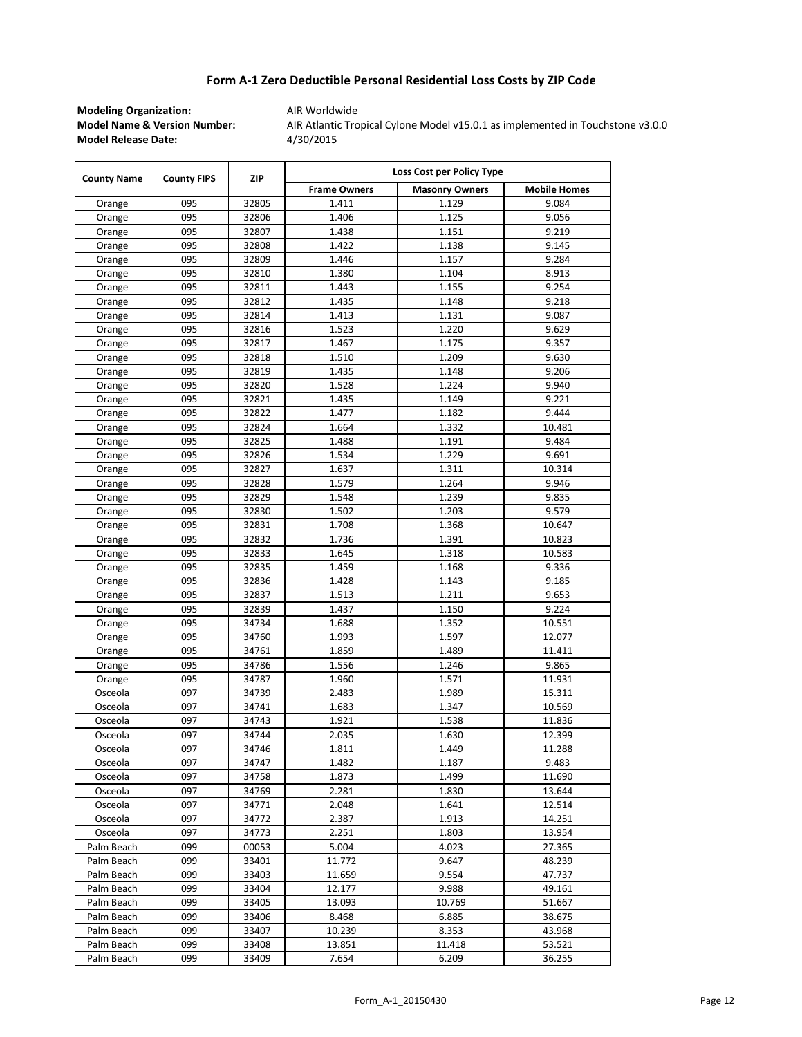**Modeling Organization:** AIR Worldwide **Model Release Date:** 4/30/2015

| <b>County Name</b> | <b>County FIPS</b> | <b>ZIP</b>     | Loss Cost per Policy Type |                       |                     |  |
|--------------------|--------------------|----------------|---------------------------|-----------------------|---------------------|--|
|                    |                    |                | <b>Frame Owners</b>       | <b>Masonry Owners</b> | <b>Mobile Homes</b> |  |
| Orange             | 095                | 32805          | 1.411                     | 1.129                 | 9.084               |  |
| Orange             | 095                | 32806          | 1.406                     | 1.125                 | 9.056               |  |
| Orange             | 095                | 32807          | 1.438                     | 1.151                 | 9.219               |  |
| Orange             | 095                | 32808          | 1.422                     | 1.138                 | 9.145               |  |
| Orange             | 095                | 32809          | 1.446                     | 1.157                 | 9.284               |  |
| Orange             | 095                | 32810          | 1.380                     | 1.104                 | 8.913               |  |
| Orange             | 095                | 32811          | 1.443                     | 1.155                 | 9.254               |  |
| Orange             | 095                | 32812          | 1.435                     | 1.148                 | 9.218               |  |
| Orange             | 095                | 32814          | 1.413                     | 1.131                 | 9.087               |  |
| Orange             | 095                | 32816          | 1.523                     | 1.220                 | 9.629               |  |
| Orange             | 095                | 32817          | 1.467                     | 1.175                 | 9.357               |  |
| Orange             | 095                | 32818          | 1.510                     | 1.209                 | 9.630               |  |
| Orange             | 095                | 32819          | 1.435                     | 1.148                 | 9.206               |  |
| Orange             | 095                | 32820          | 1.528                     | 1.224                 | 9.940               |  |
| Orange             | 095                | 32821          | 1.435                     | 1.149                 | 9.221               |  |
| Orange             | 095                | 32822          | 1.477                     | 1.182                 | 9.444               |  |
| Orange             | 095                | 32824          | 1.664                     | 1.332                 | 10.481              |  |
| Orange             | 095                | 32825          | 1.488                     | 1.191                 | 9.484               |  |
| Orange             | 095                | 32826          | 1.534                     | 1.229                 | 9.691               |  |
| Orange             | 095                | 32827          | 1.637                     | 1.311                 | 10.314              |  |
| Orange             | 095                | 32828          | 1.579                     | 1.264                 | 9.946               |  |
| Orange             | 095                | 32829          | 1.548                     | 1.239                 | 9.835               |  |
| Orange             | 095                | 32830          | 1.502                     | 1.203                 | 9.579               |  |
| Orange             | 095                | 32831          | 1.708                     | 1.368                 | 10.647              |  |
|                    | 095                | 32832          | 1.736                     | 1.391                 | 10.823              |  |
| Orange             | 095                |                | 1.645                     |                       |                     |  |
| Orange             | 095                | 32833          | 1.459                     | 1.318                 | 10.583              |  |
| Orange             |                    | 32835          |                           | 1.168                 | 9.336               |  |
| Orange             | 095<br>095         | 32836<br>32837 | 1.428<br>1.513            | 1.143<br>1.211        | 9.185<br>9.653      |  |
| Orange             |                    |                |                           |                       |                     |  |
| Orange             | 095<br>095         | 32839<br>34734 | 1.437<br>1.688            | 1.150<br>1.352        | 9.224               |  |
| Orange             |                    |                |                           |                       | 10.551              |  |
| Orange             | 095                | 34760          | 1.993                     | 1.597                 | 12.077              |  |
| Orange             | 095                | 34761          | 1.859                     | 1.489                 | 11.411              |  |
| Orange             | 095                | 34786<br>34787 | 1.556                     | 1.246                 | 9.865               |  |
| Orange             | 095                |                | 1.960                     | 1.571                 | 11.931              |  |
| Osceola            | 097                | 34739          | 2.483                     | 1.989                 | 15.311              |  |
| Osceola            | 097                | 34741          | 1.683                     | 1.347                 | 10.569              |  |
| Osceola            | 097                | 34743          | 1.921                     | 1.538                 | 11.836              |  |
| Osceola            | 097                | 34744          | 2.035                     | 1.630                 | 12.399              |  |
| Osceola            | 097                | 34746          | 1.811                     | 1.449                 | 11.288              |  |
| Osceola            | 097                | 34747          | 1.482                     | 1.187                 | 9.483               |  |
| Osceola            | 097                | 34758          | 1.873                     | 1.499                 | 11.690              |  |
| Osceola            | 097                | 34769          | 2.281                     | 1.830                 | 13.644              |  |
| Osceola            | 097                | 34771          | 2.048                     | 1.641                 | 12.514              |  |
| Osceola            | 097                | 34772          | 2.387                     | 1.913                 | 14.251              |  |
| Osceola            | 097                | 34773          | 2.251                     | 1.803                 | 13.954              |  |
| Palm Beach         | 099                | 00053          | 5.004                     | 4.023                 | 27.365              |  |
| Palm Beach         | 099                | 33401          | 11.772                    | 9.647                 | 48.239              |  |
| Palm Beach         | 099                | 33403          | 11.659                    | 9.554                 | 47.737              |  |
| Palm Beach         | 099                | 33404          | 12.177                    | 9.988                 | 49.161              |  |
| Palm Beach         | 099                | 33405          | 13.093                    | 10.769                | 51.667              |  |
| Palm Beach         | 099                | 33406          | 8.468                     | 6.885                 | 38.675              |  |
| Palm Beach         | 099                | 33407          | 10.239                    | 8.353                 | 43.968              |  |
| Palm Beach         | 099                | 33408          | 13.851                    | 11.418                | 53.521              |  |
| Palm Beach         | 099                | 33409          | 7.654                     | 6.209                 | 36.255              |  |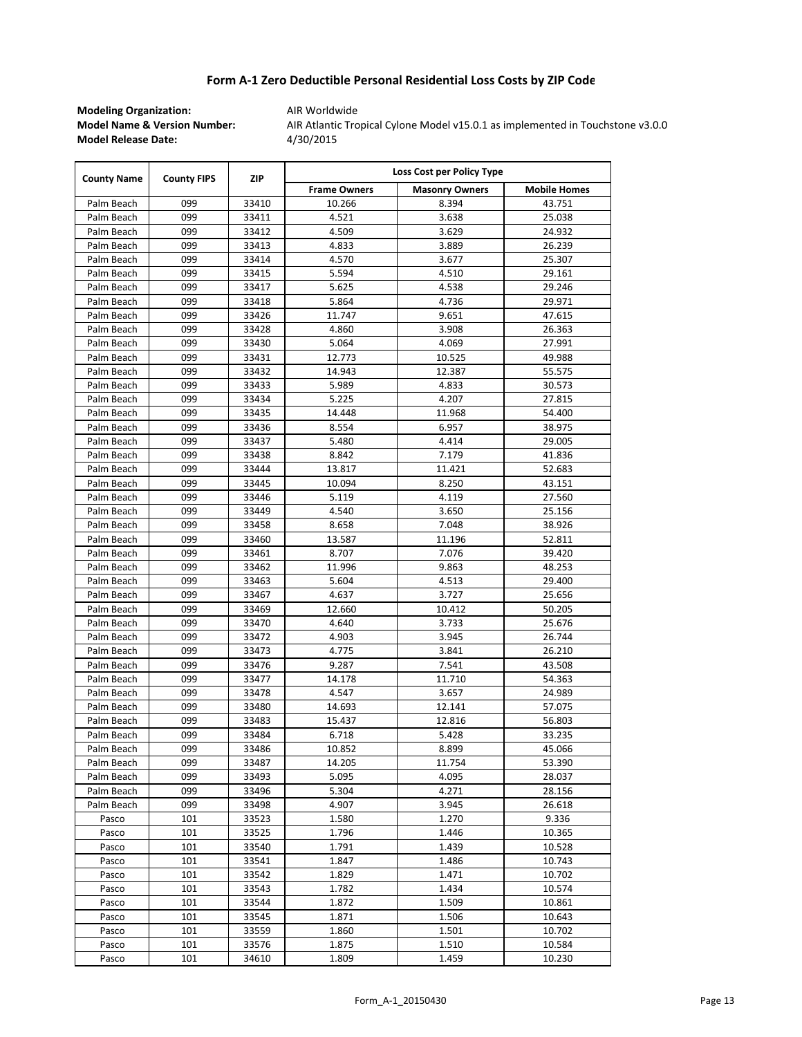**Modeling Organization:** AIR Worldwide **Model Release Date:** 4/30/2015

| <b>County Name</b> | <b>County FIPS</b> | ZIP   | Loss Cost per Policy Type |                       |                     |  |
|--------------------|--------------------|-------|---------------------------|-----------------------|---------------------|--|
|                    |                    |       | <b>Frame Owners</b>       | <b>Masonry Owners</b> | <b>Mobile Homes</b> |  |
| Palm Beach         | 099                | 33410 | 10.266                    | 8.394                 | 43.751              |  |
| Palm Beach         | 099                | 33411 | 4.521                     | 3.638                 | 25.038              |  |
| Palm Beach         | 099                | 33412 | 4.509                     | 3.629                 | 24.932              |  |
| Palm Beach         | 099                | 33413 | 4.833                     | 3.889                 | 26.239              |  |
| Palm Beach         | 099                | 33414 | 4.570                     | 3.677                 | 25.307              |  |
| Palm Beach         | 099                | 33415 | 5.594                     | 4.510                 | 29.161              |  |
| Palm Beach         | 099                | 33417 | 5.625                     | 4.538                 | 29.246              |  |
| Palm Beach         | 099                | 33418 | 5.864                     | 4.736                 | 29.971              |  |
| Palm Beach         | 099                | 33426 | 11.747                    | 9.651                 | 47.615              |  |
| Palm Beach         | 099                | 33428 | 4.860                     | 3.908                 | 26.363              |  |
| Palm Beach         | 099                | 33430 | 5.064                     | 4.069                 | 27.991              |  |
| Palm Beach         | 099                | 33431 | 12.773                    | 10.525                | 49.988              |  |
| Palm Beach         | 099                | 33432 | 14.943                    | 12.387                | 55.575              |  |
| Palm Beach         | 099                | 33433 | 5.989                     | 4.833                 | 30.573              |  |
| Palm Beach         | 099                | 33434 | 5.225                     | 4.207                 | 27.815              |  |
| Palm Beach         | 099                | 33435 | 14.448                    | 11.968                | 54.400              |  |
| Palm Beach         | 099                | 33436 | 8.554                     | 6.957                 | 38.975              |  |
| Palm Beach         | 099                | 33437 | 5.480                     | 4.414                 | 29.005              |  |
| Palm Beach         | 099                | 33438 | 8.842                     | 7.179                 | 41.836              |  |
| Palm Beach         | 099                | 33444 | 13.817                    | 11.421                | 52.683              |  |
| Palm Beach         | 099                | 33445 | 10.094                    | 8.250                 | 43.151              |  |
| Palm Beach         | 099                | 33446 | 5.119                     | 4.119                 | 27.560              |  |
| Palm Beach         | 099                | 33449 | 4.540                     | 3.650                 | 25.156              |  |
| Palm Beach         | 099                | 33458 | 8.658                     | 7.048                 | 38.926              |  |
| Palm Beach         | 099                | 33460 | 13.587                    | 11.196                | 52.811              |  |
| Palm Beach         | 099                | 33461 | 8.707                     | 7.076                 | 39.420              |  |
| Palm Beach         | 099                | 33462 | 11.996                    | 9.863                 | 48.253              |  |
| Palm Beach         | 099                | 33463 | 5.604                     | 4.513                 | 29.400              |  |
| Palm Beach         | 099                | 33467 | 4.637                     | 3.727                 | 25.656              |  |
| Palm Beach         | 099                | 33469 | 12.660                    | 10.412                | 50.205              |  |
| Palm Beach         | 099                | 33470 | 4.640                     | 3.733                 | 25.676              |  |
| Palm Beach         | 099                | 33472 | 4.903                     | 3.945                 | 26.744              |  |
| Palm Beach         | 099                | 33473 | 4.775                     | 3.841                 | 26.210              |  |
| Palm Beach         | 099                | 33476 | 9.287                     | 7.541                 | 43.508              |  |
| Palm Beach         | 099                | 33477 | 14.178                    | 11.710                | 54.363              |  |
| Palm Beach         | 099                | 33478 | 4.547                     | 3.657                 | 24.989              |  |
| Palm Beach         | 099                | 33480 | 14.693                    | 12.141                | 57.075              |  |
| Palm Beach         | 099                | 33483 | 15.437                    | 12.816                | 56.803              |  |
| Palm Beach         | 099                | 33484 | 6.718                     | 5.428                 | 33.235              |  |
| Palm Beach         | 099                | 33486 | 10.852                    | 8.899                 | 45.066              |  |
| Palm Beach         | 099                | 33487 | 14.205                    | 11.754                | 53.390              |  |
| Palm Beach         | 099                | 33493 | 5.095                     | 4.095                 | 28.037              |  |
| Palm Beach         | 099                | 33496 | 5.304                     | 4.271                 | 28.156              |  |
| Palm Beach         | 099                | 33498 | 4.907                     | 3.945                 | 26.618              |  |
| Pasco              | 101                | 33523 | 1.580                     | 1.270                 | 9.336               |  |
| Pasco              | 101                | 33525 | 1.796                     | 1.446                 | 10.365              |  |
| Pasco              | 101                | 33540 | 1.791                     | 1.439                 | 10.528              |  |
| Pasco              | 101                | 33541 | 1.847                     | 1.486                 | 10.743              |  |
| Pasco              | 101                | 33542 | 1.829                     | 1.471                 | 10.702              |  |
| Pasco              | 101                | 33543 | 1.782                     | 1.434                 | 10.574              |  |
| Pasco              | 101                | 33544 | 1.872                     | 1.509                 | 10.861              |  |
| Pasco              | 101                | 33545 | 1.871                     | 1.506                 | 10.643              |  |
| Pasco              | 101                | 33559 | 1.860                     | 1.501                 | 10.702              |  |
| Pasco              | 101                | 33576 | 1.875                     | 1.510                 | 10.584              |  |
| Pasco              | 101                | 34610 | 1.809                     | 1.459                 | 10.230              |  |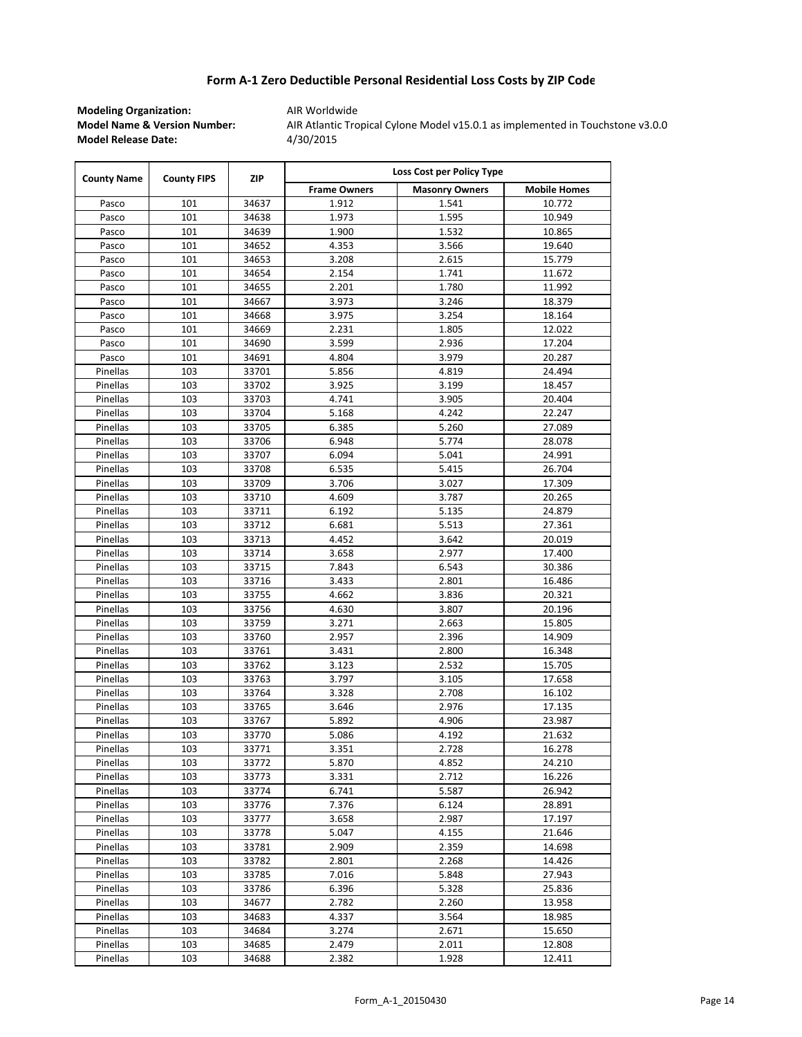**Modeling Organization:** AIR Worldwide **Model Release Date:** 4/30/2015

| <b>County Name</b> | <b>County FIPS</b> | <b>ZIP</b> | Loss Cost per Policy Type |                       |                     |  |
|--------------------|--------------------|------------|---------------------------|-----------------------|---------------------|--|
|                    |                    |            | <b>Frame Owners</b>       | <b>Masonry Owners</b> | <b>Mobile Homes</b> |  |
| Pasco              | 101                | 34637      | 1.912                     | 1.541                 | 10.772              |  |
| Pasco              | 101                | 34638      | 1.973                     | 1.595                 | 10.949              |  |
| Pasco              | 101                | 34639      | 1.900                     | 1.532                 | 10.865              |  |
| Pasco              | 101                | 34652      | 4.353                     | 3.566                 | 19.640              |  |
| Pasco              | 101                | 34653      | 3.208                     | 2.615                 | 15.779              |  |
| Pasco              | 101                | 34654      | 2.154                     | 1.741                 | 11.672              |  |
| Pasco              | 101                | 34655      | 2.201                     | 1.780                 | 11.992              |  |
| Pasco              | 101                | 34667      | 3.973                     | 3.246                 | 18.379              |  |
| Pasco              | 101                | 34668      | 3.975                     | 3.254                 | 18.164              |  |
| Pasco              | 101                | 34669      | 2.231                     | 1.805                 | 12.022              |  |
| Pasco              | 101                | 34690      | 3.599                     | 2.936                 | 17.204              |  |
| Pasco              | 101                | 34691      | 4.804                     | 3.979                 | 20.287              |  |
| Pinellas           | 103                | 33701      | 5.856                     | 4.819                 | 24.494              |  |
| Pinellas           | 103                | 33702      | 3.925                     | 3.199                 | 18.457              |  |
| Pinellas           | 103                | 33703      | 4.741                     | 3.905                 | 20.404              |  |
| Pinellas           | 103                | 33704      | 5.168                     | 4.242                 | 22.247              |  |
| Pinellas           | 103                | 33705      | 6.385                     | 5.260                 | 27.089              |  |
| Pinellas           | 103                | 33706      | 6.948                     | 5.774                 | 28.078              |  |
| Pinellas           | 103                | 33707      | 6.094                     | 5.041                 | 24.991              |  |
| Pinellas           | 103                | 33708      | 6.535                     | 5.415                 | 26.704              |  |
| Pinellas           | 103                | 33709      | 3.706                     | 3.027                 | 17.309              |  |
| Pinellas           | 103                | 33710      | 4.609                     | 3.787                 | 20.265              |  |
| Pinellas           | 103                | 33711      | 6.192                     | 5.135                 | 24.879              |  |
| Pinellas           | 103                | 33712      | 6.681                     | 5.513                 | 27.361              |  |
| Pinellas           | 103                | 33713      | 4.452                     | 3.642                 | 20.019              |  |
| Pinellas           | 103                | 33714      | 3.658                     | 2.977                 | 17.400              |  |
| Pinellas           | 103                | 33715      | 7.843                     | 6.543                 | 30.386              |  |
| Pinellas           | 103                | 33716      | 3.433                     | 2.801                 | 16.486              |  |
| Pinellas           | 103                | 33755      | 4.662                     | 3.836                 | 20.321              |  |
| Pinellas           | 103                | 33756      | 4.630                     | 3.807                 | 20.196              |  |
| Pinellas           | 103                | 33759      | 3.271                     | 2.663                 | 15.805              |  |
| Pinellas           | 103                | 33760      | 2.957                     | 2.396                 | 14.909              |  |
| Pinellas           | 103                | 33761      | 3.431                     | 2.800                 | 16.348              |  |
| Pinellas           | 103                | 33762      | 3.123                     | 2.532                 | 15.705              |  |
| Pinellas           | 103                | 33763      | 3.797                     | 3.105                 | 17.658              |  |
| Pinellas           | 103                | 33764      | 3.328                     | 2.708                 | 16.102              |  |
| Pinellas           | 103                | 33765      | 3.646                     | 2.976                 | 17.135              |  |
| Pinellas           | 103                | 33767      | 5.892                     | 4.906                 | 23.987              |  |
| Pinellas           | 103                | 33770      | 5.086                     | 4.192                 | 21.632              |  |
| Pinellas           | 103                | 33771      | 3.351                     | 2.728                 | 16.278              |  |
| Pinellas           | 103                | 33772      | 5.870                     | 4.852                 | 24.210              |  |
| Pinellas           | 103                | 33773      | 3.331                     | 2.712                 | 16.226              |  |
| Pinellas           | 103                | 33774      | 6.741                     | 5.587                 | 26.942              |  |
| Pinellas           | 103                | 33776      | 7.376                     | 6.124                 | 28.891              |  |
| Pinellas           | 103                | 33777      | 3.658                     | 2.987                 | 17.197              |  |
| Pinellas           | 103                | 33778      | 5.047                     | 4.155                 | 21.646              |  |
| Pinellas           | 103                | 33781      | 2.909                     | 2.359                 | 14.698              |  |
| Pinellas           | 103                | 33782      | 2.801                     | 2.268                 | 14.426              |  |
| Pinellas           | 103                | 33785      | 7.016                     | 5.848                 | 27.943              |  |
| Pinellas           | 103                | 33786      | 6.396                     | 5.328                 | 25.836              |  |
| Pinellas           | 103                | 34677      | 2.782                     | 2.260                 | 13.958              |  |
| Pinellas           | 103                | 34683      | 4.337                     | 3.564                 | 18.985              |  |
| Pinellas           | 103                | 34684      | 3.274                     | 2.671                 | 15.650              |  |
| Pinellas           | 103                | 34685      | 2.479                     | 2.011                 | 12.808              |  |
| Pinellas           | 103                | 34688      | 2.382                     | 1.928                 | 12.411              |  |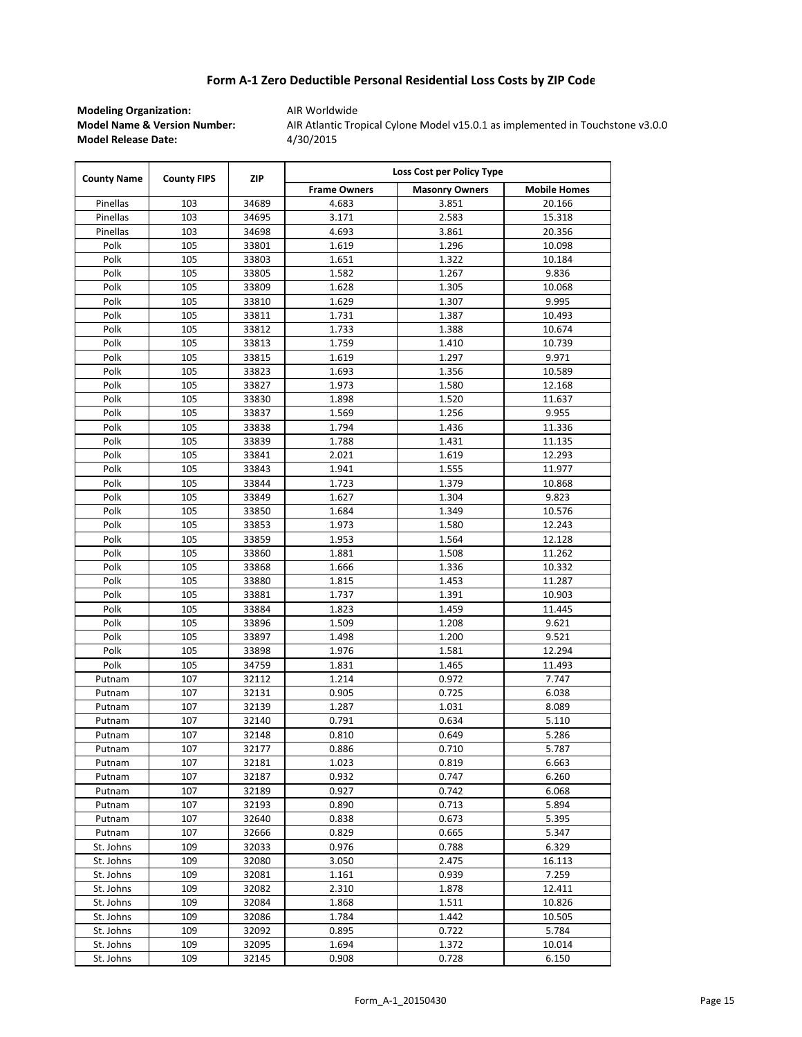**Modeling Organization:** AIR Worldwide **Model Release Date:** 4/30/2015

| <b>County Name</b> | <b>County FIPS</b> | <b>ZIP</b>     | Loss Cost per Policy Type |                       |                     |  |
|--------------------|--------------------|----------------|---------------------------|-----------------------|---------------------|--|
|                    |                    |                | <b>Frame Owners</b>       | <b>Masonry Owners</b> | <b>Mobile Homes</b> |  |
| Pinellas           | 103                | 34689          | 4.683                     | 3.851                 | 20.166              |  |
| Pinellas           | 103                | 34695          | 3.171                     | 2.583                 | 15.318              |  |
| Pinellas           | 103                | 34698          | 4.693                     | 3.861                 | 20.356              |  |
| Polk               | 105                | 33801          | 1.619                     | 1.296                 | 10.098              |  |
| Polk               | 105                | 33803          | 1.651                     | 1.322                 | 10.184              |  |
| Polk               | 105                | 33805          | 1.582                     | 1.267                 | 9.836               |  |
| Polk               | 105                | 33809          | 1.628                     | 1.305                 | 10.068              |  |
| Polk               | 105                | 33810          | 1.629                     | 1.307                 | 9.995               |  |
| Polk               | 105                | 33811          | 1.731                     | 1.387                 | 10.493              |  |
| Polk               | 105                | 33812          | 1.733                     | 1.388                 | 10.674              |  |
| Polk               | 105                | 33813          | 1.759                     | 1.410                 | 10.739              |  |
| Polk               | 105                | 33815          | 1.619                     | 1.297                 | 9.971               |  |
| Polk               | 105                | 33823          | 1.693                     | 1.356                 | 10.589              |  |
| Polk               | 105                | 33827          | 1.973                     | 1.580                 | 12.168              |  |
| Polk               | 105                | 33830          | 1.898                     | 1.520                 | 11.637              |  |
| Polk               | 105                | 33837          | 1.569                     | 1.256                 | 9.955               |  |
| Polk               | 105                | 33838          | 1.794                     | 1.436                 | 11.336              |  |
| Polk               | 105                | 33839          | 1.788                     | 1.431                 | 11.135              |  |
| Polk               | 105                | 33841          | 2.021                     | 1.619                 | 12.293              |  |
| Polk               | 105                | 33843          | 1.941                     | 1.555                 | 11.977              |  |
| Polk               | 105                | 33844          | 1.723                     | 1.379                 | 10.868              |  |
| Polk               | 105                | 33849          | 1.627                     | 1.304                 | 9.823               |  |
| Polk               | 105                | 33850          | 1.684                     | 1.349                 | 10.576              |  |
| Polk               | 105                | 33853          | 1.973                     | 1.580                 | 12.243              |  |
| Polk               | 105                | 33859          | 1.953                     | 1.564                 | 12.128              |  |
| Polk               | 105                | 33860          | 1.881                     | 1.508                 | 11.262              |  |
| Polk               | 105                | 33868          | 1.666                     | 1.336                 | 10.332              |  |
| Polk               | 105                | 33880          |                           | 1.453                 | 11.287              |  |
| Polk               | 105                | 33881          | 1.815<br>1.737            | 1.391                 | 10.903              |  |
| Polk               | 105                | 33884          | 1.823                     | 1.459                 | 11.445              |  |
| Polk               | 105                | 33896          | 1.509                     | 1.208                 | 9.621               |  |
|                    |                    |                |                           |                       |                     |  |
| Polk<br>Polk       | 105<br>105         | 33897          | 1.498                     | 1.200                 | 9.521               |  |
| Polk               | 105                | 33898          | 1.976                     | 1.581<br>1.465        | 12.294              |  |
|                    | 107                | 34759<br>32112 | 1.831<br>1.214            | 0.972                 | 11.493<br>7.747     |  |
| Putnam             |                    |                |                           |                       |                     |  |
| Putnam             | 107                | 32131          | 0.905                     | 0.725                 | 6.038               |  |
| Putnam             | 107                | 32139          | 1.287                     | 1.031                 | 8.089               |  |
| Putnam             | 107                | 32140          | 0.791                     | 0.634                 | 5.110               |  |
| Putnam             | 107                | 32148          | 0.810<br>0.886            | 0.649                 | 5.286               |  |
| Putnam             | 107                | 32177          |                           | 0.710                 | 5.787               |  |
| Putnam             | 107                | 32181          | 1.023                     | 0.819                 | 6.663               |  |
| Putnam             | 107                | 32187          | 0.932                     | 0.747                 | 6.260               |  |
| Putnam             | 107                | 32189          | 0.927                     | 0.742                 | 6.068               |  |
| Putnam             | 107                | 32193          | 0.890                     | 0.713                 | 5.894               |  |
| Putnam             | 107                | 32640          | 0.838                     | 0.673                 | 5.395               |  |
| Putnam             | 107                | 32666          | 0.829                     | 0.665                 | 5.347               |  |
| St. Johns          | 109                | 32033          | 0.976                     | 0.788                 | 6.329               |  |
| St. Johns          | 109                | 32080          | 3.050                     | 2.475                 | 16.113              |  |
| St. Johns          | 109                | 32081          | 1.161                     | 0.939                 | 7.259               |  |
| St. Johns          | 109                | 32082          | 2.310                     | 1.878                 | 12.411              |  |
| St. Johns          | 109                | 32084          | 1.868                     | 1.511                 | 10.826              |  |
| St. Johns          | 109                | 32086          | 1.784                     | 1.442                 | 10.505              |  |
| St. Johns          | 109                | 32092          | 0.895                     | 0.722                 | 5.784               |  |
| St. Johns          | 109                | 32095          | 1.694                     | 1.372                 | 10.014              |  |
| St. Johns          | 109                | 32145          | 0.908                     | 0.728                 | 6.150               |  |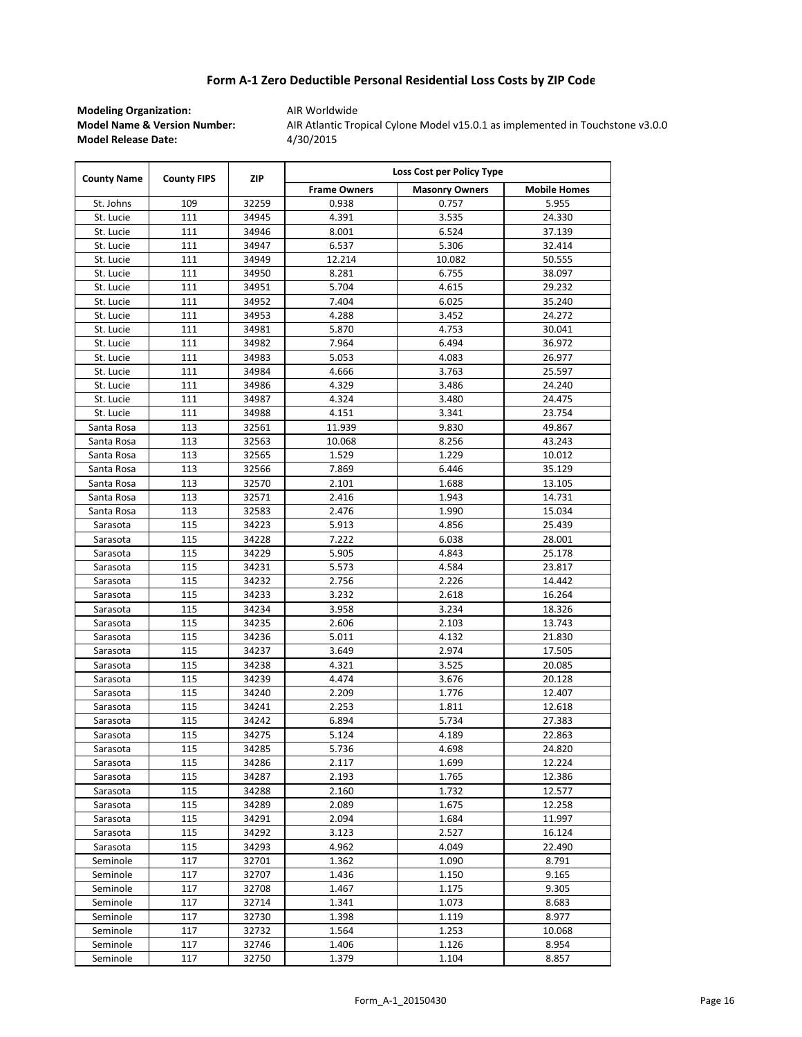**Modeling Organization:** AIR Worldwide **Model Release Date:** 4/30/2015

| <b>County Name</b>   | <b>County FIPS</b> | <b>ZIP</b>     | Loss Cost per Policy Type |                       |                     |  |
|----------------------|--------------------|----------------|---------------------------|-----------------------|---------------------|--|
|                      |                    |                | <b>Frame Owners</b>       | <b>Masonry Owners</b> | <b>Mobile Homes</b> |  |
| St. Johns            | 109                | 32259          | 0.938                     | 0.757                 | 5.955               |  |
| St. Lucie            | 111                | 34945          | 4.391                     | 3.535                 | 24.330              |  |
| St. Lucie            | 111                | 34946          | 8.001                     | 6.524                 | 37.139              |  |
| St. Lucie            | 111                | 34947          | 6.537                     | 5.306                 | 32.414              |  |
| St. Lucie            | 111                | 34949          | 12.214                    | 10.082                | 50.555              |  |
| St. Lucie            | 111                | 34950          | 8.281                     | 6.755                 | 38.097              |  |
| St. Lucie            | 111                | 34951          | 5.704                     | 4.615                 | 29.232              |  |
| St. Lucie            | 111                | 34952          | 7.404                     | 6.025                 | 35.240              |  |
| St. Lucie            | 111                | 34953          | 4.288                     | 3.452                 | 24.272              |  |
| St. Lucie            | 111                | 34981          | 5.870                     | 4.753                 | 30.041              |  |
| St. Lucie            | 111                | 34982          | 7.964                     | 6.494                 | 36.972              |  |
| St. Lucie            | 111                | 34983          | 5.053                     | 4.083                 | 26.977              |  |
| St. Lucie            | 111                | 34984          | 4.666                     | 3.763                 | 25.597              |  |
| St. Lucie            | 111                | 34986          | 4.329                     | 3.486                 | 24.240              |  |
| St. Lucie            | 111                | 34987          | 4.324                     | 3.480                 | 24.475              |  |
| St. Lucie            | 111                | 34988          | 4.151                     | 3.341                 | 23.754              |  |
| Santa Rosa           | 113                | 32561          | 11.939                    | 9.830                 | 49.867              |  |
| Santa Rosa           | 113                | 32563          | 10.068                    | 8.256                 | 43.243              |  |
| Santa Rosa           | 113                | 32565          | 1.529                     | 1.229                 | 10.012              |  |
| Santa Rosa           | 113                | 32566          | 7.869                     | 6.446                 | 35.129              |  |
| Santa Rosa           | 113                | 32570          | 2.101                     | 1.688                 | 13.105              |  |
| Santa Rosa           | 113                | 32571          | 2.416                     | 1.943                 | 14.731              |  |
| Santa Rosa           | 113                | 32583          | 2.476                     | 1.990                 | 15.034              |  |
| Sarasota             | 115                | 34223          | 5.913                     | 4.856                 | 25.439              |  |
| Sarasota             | 115                | 34228          | 7.222                     | 6.038                 | 28.001              |  |
|                      |                    | 34229          | 5.905                     | 4.843                 | 25.178              |  |
| Sarasota             | 115                |                | 5.573                     | 4.584                 |                     |  |
| Sarasota             | 115                | 34231          |                           |                       | 23.817              |  |
| Sarasota             | 115<br>115         | 34232<br>34233 | 2.756<br>3.232            | 2.226<br>2.618        | 14.442<br>16.264    |  |
| Sarasota             |                    |                |                           |                       |                     |  |
| Sarasota<br>Sarasota | 115<br>115         | 34234<br>34235 | 3.958<br>2.606            | 3.234<br>2.103        | 18.326<br>13.743    |  |
|                      |                    |                |                           |                       |                     |  |
| Sarasota             | 115                | 34236          | 5.011                     | 4.132                 | 21.830              |  |
| Sarasota             | 115                | 34237          | 3.649                     | 2.974                 | 17.505              |  |
| Sarasota             | 115                | 34238          | 4.321                     | 3.525                 | 20.085              |  |
| Sarasota             | 115                | 34239          | 4.474                     | 3.676                 | 20.128              |  |
| Sarasota             | 115                | 34240          | 2.209                     | 1.776                 | 12.407              |  |
| Sarasota             | 115                | 34241          | 2.253                     | 1.811                 | 12.618              |  |
| Sarasota             | 115                | 34242          | 6.894                     | 5.734                 | 27.383              |  |
| Sarasota             | 115                | 34275          | 5.124                     | 4.189                 | 22.863              |  |
| Sarasota             | 115                | 34285          | 5.736                     | 4.698                 | 24.820              |  |
| Sarasota             | 115                | 34286          | 2.117                     | 1.699                 | 12.224              |  |
| Sarasota             | 115                | 34287          | 2.193                     | 1.765                 | 12.386              |  |
| Sarasota             | 115                | 34288          | 2.160                     | 1.732                 | 12.577              |  |
| Sarasota             | 115                | 34289          | 2.089                     | 1.675                 | 12.258              |  |
| Sarasota             | 115                | 34291          | 2.094                     | 1.684                 | 11.997              |  |
| Sarasota             | 115                | 34292          | 3.123                     | 2.527                 | 16.124              |  |
| Sarasota             | 115                | 34293          | 4.962                     | 4.049                 | 22.490              |  |
| Seminole             | 117                | 32701          | 1.362                     | 1.090                 | 8.791               |  |
| Seminole             | 117                | 32707          | 1.436                     | 1.150                 | 9.165               |  |
| Seminole             | 117                | 32708          | 1.467                     | 1.175                 | 9.305               |  |
| Seminole             | 117                | 32714          | 1.341                     | 1.073                 | 8.683               |  |
| Seminole             | 117                | 32730          | 1.398                     | 1.119                 | 8.977               |  |
| Seminole             | 117                | 32732          | 1.564                     | 1.253                 | 10.068              |  |
| Seminole             | 117                | 32746          | 1.406                     | 1.126                 | 8.954               |  |
| Seminole             | 117                | 32750          | 1.379                     | 1.104                 | 8.857               |  |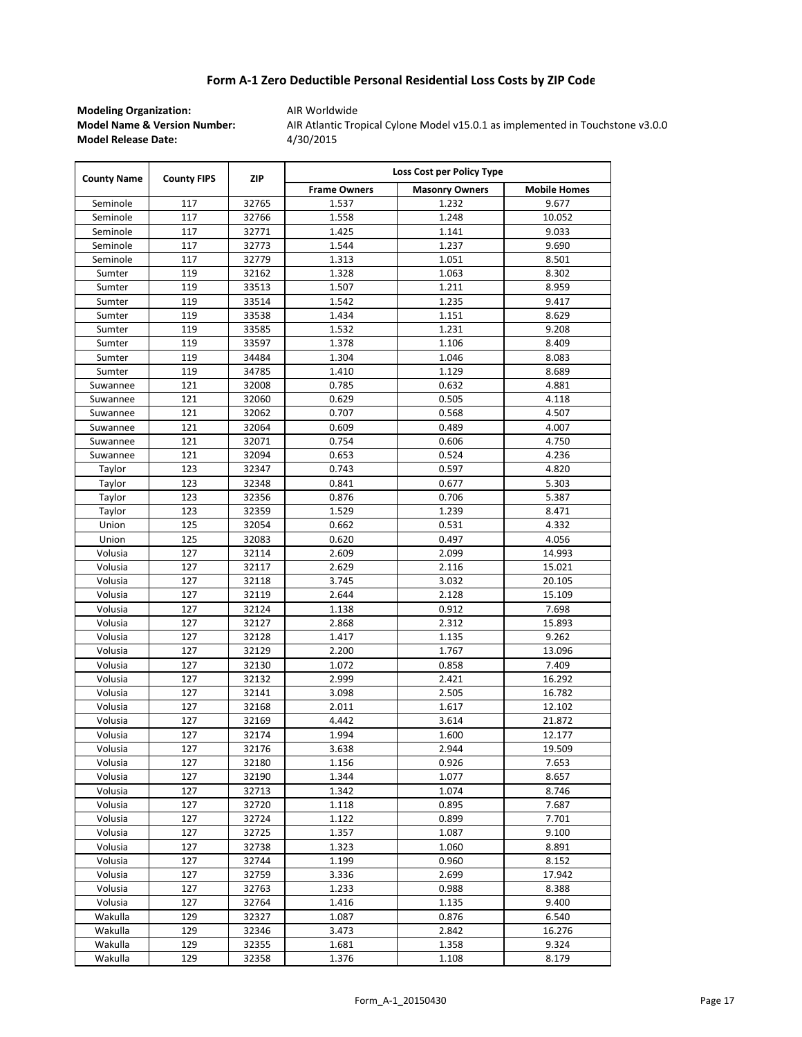**Modeling Organization:** AIR Worldwide<br> **Model Name & Version Number:** AIR Atlantic Tro **Model Release Date:** 4/30/2015

AIR Atlantic Tropical Cylone Model v15.0.1 as implemented in Touchstone v3.0.0

| <b>County Name</b> | <b>County FIPS</b> | <b>ZIP</b>     | Loss Cost per Policy Type |                       |                     |  |
|--------------------|--------------------|----------------|---------------------------|-----------------------|---------------------|--|
|                    |                    |                | <b>Frame Owners</b>       | <b>Masonry Owners</b> | <b>Mobile Homes</b> |  |
| Seminole           | 117                | 32765          | 1.537                     | 1.232                 | 9.677               |  |
| Seminole           | 117                | 32766          | 1.558                     | 1.248                 | 10.052              |  |
| Seminole           | 117                | 32771          | 1.425                     | 1.141                 | 9.033               |  |
| Seminole           | 117                | 32773          | 1.544                     | 1.237                 | 9.690               |  |
| Seminole           | 117                | 32779          | 1.313                     | 1.051                 | 8.501               |  |
| Sumter             | 119                | 32162          | 1.328                     | 1.063                 | 8.302               |  |
| Sumter             | 119                | 33513          | 1.507                     | 1.211                 | 8.959               |  |
| Sumter             | 119                | 33514          | 1.542                     | 1.235                 | 9.417               |  |
| Sumter             | 119                | 33538          | 1.434                     | 1.151                 | 8.629               |  |
| Sumter             | 119                | 33585          | 1.532                     | 1.231                 | 9.208               |  |
| Sumter             | 119                | 33597          | 1.378                     | 1.106                 | 8.409               |  |
| Sumter             | 119                | 34484          | 1.304                     | 1.046                 | 8.083               |  |
| Sumter             | 119                | 34785          | 1.410                     | 1.129                 | 8.689               |  |
| Suwannee           | 121                | 32008          | 0.785                     | 0.632                 | 4.881               |  |
| Suwannee           | 121                | 32060          | 0.629                     | 0.505                 | 4.118               |  |
| Suwannee           | 121                | 32062          | 0.707                     | 0.568                 | 4.507               |  |
| Suwannee           | 121                | 32064          | 0.609                     | 0.489                 | 4.007               |  |
| Suwannee           | 121                | 32071          | 0.754                     | 0.606                 | 4.750               |  |
| Suwannee           | 121                | 32094          | 0.653                     | 0.524                 | 4.236               |  |
| Taylor             | 123                | 32347          | 0.743                     | 0.597                 | 4.820               |  |
| Taylor             | 123                | 32348          | 0.841                     | 0.677                 | 5.303               |  |
| Taylor             | 123                | 32356          | 0.876                     | 0.706                 | 5.387               |  |
| Taylor             | 123                | 32359          | 1.529                     | 1.239                 | 8.471               |  |
| Union              | 125                | 32054          | 0.662                     | 0.531                 | 4.332               |  |
| Union              | 125                | 32083          | 0.620                     | 0.497                 | 4.056               |  |
| Volusia            |                    |                |                           | 2.099                 | 14.993              |  |
|                    | 127                | 32114          | 2.609                     |                       |                     |  |
| Volusia<br>Volusia | 127                | 32117          | 2.629                     | 2.116                 | 15.021              |  |
|                    | 127<br>127         | 32118<br>32119 | 3.745<br>2.644            | 3.032<br>2.128        | 20.105<br>15.109    |  |
| Volusia            |                    |                |                           |                       |                     |  |
| Volusia            | 127<br>127         | 32124<br>32127 | 1.138                     | 0.912<br>2.312        | 7.698<br>15.893     |  |
| Volusia            |                    |                | 2.868                     |                       |                     |  |
| Volusia            | 127                | 32128          | 1.417                     | 1.135                 | 9.262               |  |
| Volusia            | 127                | 32129          | 2.200                     | 1.767                 | 13.096              |  |
| Volusia            | 127                | 32130          | 1.072                     | 0.858                 | 7.409               |  |
| Volusia            | 127                | 32132          | 2.999                     | 2.421                 | 16.292              |  |
| Volusia            | 127                | 32141          | 3.098                     | 2.505                 | 16.782              |  |
| Volusia            | 127                | 32168          | 2.011                     | 1.617                 | 12.102              |  |
| Volusia            | 127                | 32169          | 4.442                     | 3.614                 | 21.872              |  |
| Volusia            | 127                | 32174          | 1.994                     | 1.600                 | 12.177              |  |
| Volusia            | 127                | 32176          | 3.638                     | 2.944                 | 19.509              |  |
| Volusia            | 127                | 32180          | 1.156                     | 0.926                 | 7.653               |  |
| Volusia            | 127                | 32190          | 1.344                     | 1.077                 | 8.657               |  |
| Volusia            | 127                | 32713          | 1.342                     | 1.074                 | 8.746               |  |
| Volusia            | 127                | 32720          | 1.118                     | 0.895                 | 7.687               |  |
| Volusia            | 127                | 32724          | 1.122                     | 0.899                 | 7.701               |  |
| Volusia            | 127                | 32725          | 1.357                     | 1.087                 | 9.100               |  |
| Volusia            | 127                | 32738          | 1.323                     | 1.060                 | 8.891               |  |
| Volusia            | 127                | 32744          | 1.199                     | 0.960                 | 8.152               |  |
| Volusia            | 127                | 32759          | 3.336                     | 2.699                 | 17.942              |  |
| Volusia            | 127                | 32763          | 1.233                     | 0.988                 | 8.388               |  |
| Volusia            | 127                | 32764          | 1.416                     | 1.135                 | 9.400               |  |
| Wakulla            | 129                | 32327          | 1.087                     | 0.876                 | 6.540               |  |
| Wakulla            | 129                | 32346          | 3.473                     | 2.842                 | 16.276              |  |
| Wakulla            | 129                | 32355          | 1.681                     | 1.358                 | 9.324               |  |
| Wakulla            | 129                | 32358          | 1.376                     | 1.108                 | 8.179               |  |